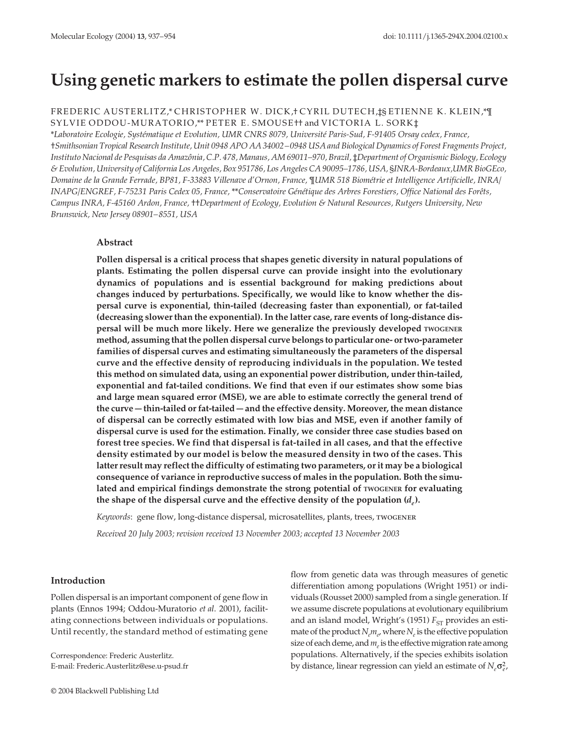# Using genetic markers to estimate the pollen dispersal curve

FREDERIC AUSTERLITZ,\* CHRISTOPHER W. DICK,† CYRIL DUTECH,‡§ ETIENNE K. KLEIN,\*¶ SYLVIE ODDOU-MURATORIO,\*\* PETER E. SMOUSE†† and VICTORIA L. SORK‡

\**Laboratoire Ecologie, Systématique et Evolution, UMR CNRS 8079, Université Paris-Sud, F-91405 Orsay cedex, France,*  †*Smithsonian Tropical Research Institute, Unit 0948 APO AA 34002–0948 USA and Biological Dynamics of Forest Fragments Project, Instituto Nacional de Pesquisas da Amazônia, C.P. 478, Manaus, AM 69011–970, Brazil,* ‡*Department of Organismic Biology, Ecology & Evolution, University of California Los Angeles, Box 951786, Los Angeles CA 90095–1786, USA,* §*INRA-Bordeaux,UMR BioGEco, Domaine de la Grande Ferrade, BP81, F-33883 Villenave d'Ornon, France,* ¶*UMR 518 Biométrie et Intelligence Artificielle, INRA/ INAPG/ENGREF, F-75231 Paris Cedex 05, France,* \*\**Conservatoire Génétique des Arbres Forestiers, Office National des Forêts, Campus INRA, F-45160 Ardon, France,* ††*Department of Ecology, Evolution & Natural Resources, Rutgers University, New Brunswick, New Jersey 08901–8551, USA* 

## **Abstract**

**Pollen dispersal is a critical process that shapes genetic diversity in natural populations of plants. Estimating the pollen dispersal curve can provide insight into the evolutionary dynamics of populations and is essential background for making predictions about changes induced by perturbations. Specifically, we would like to know whether the dispersal curve is exponential, thin-tailed (decreasing faster than exponential), or fat-tailed (decreasing slower than the exponential). In the latter case, rare events of long-distance dispersal will be much more likely. Here we generalize the previously developed TWOGENER method, assuming that the pollen dispersal curve belongs to particular one- or two-parameter families of dispersal curves and estimating simultaneously the parameters of the dispersal curve and the effective density of reproducing individuals in the population. We tested this method on simulated data, using an exponential power distribution, under thin-tailed, exponential and fat-tailed conditions. We find that even if our estimates show some bias and large mean squared error (MSE), we are able to estimate correctly the general trend of the curve — thin-tailed or fat-tailed — and the effective density. Moreover, the mean distance of dispersal can be correctly estimated with low bias and MSE, even if another family of dispersal curve is used for the estimation. Finally, we consider three case studies based on forest tree species. We find that dispersal is fat-tailed in all cases, and that the effective density estimated by our model is below the measured density in two of the cases. This latter result may reflect the difficulty of estimating two parameters, or it may be a biological consequence of variance in reproductive success of males in the population. Both the simulated and empirical findings demonstrate the strong potential of <b>TWOGENER** for evaluating the shape of the dispersal curve and the effective density of the population  $(d_a)$ .

*Keywords*: gene flow, long-distance dispersal, microsatellites, plants, trees, twogener

*Received 20 July 2003; revision received 13 November 2003; accepted 13 November 2003*

## **Introduction**

Pollen dispersal is an important component of gene flow in plants (Ennos 1994; Oddou-Muratorio *et al*. 2001), facilitating connections between individuals or populations. Until recently, the standard method of estimating gene

Correspondence: Frederic Austerlitz.

flow from genetic data was through measures of genetic differentiation among populations (Wright 1951) or individuals (Rousset 2000) sampled from a single generation. If we assume discrete populations at evolutionary equilibrium and an island model, Wright's (1951)  $F_{ST}$  provides an estimate of the product  $N_{e}m_{e'}$  where  $N_{e}$  is the effective population size of each deme, and  $m<sub>e</sub>$  is the effective migration rate among populations. Alternatively, if the species exhibits isolation E-mail: Frederic.Austerlitz@ese.u-psud.fr **by distance**, linear regression can yield an estimate of *N<sub>e</sub>* σ<sup>2</sup><sub>e</sub>,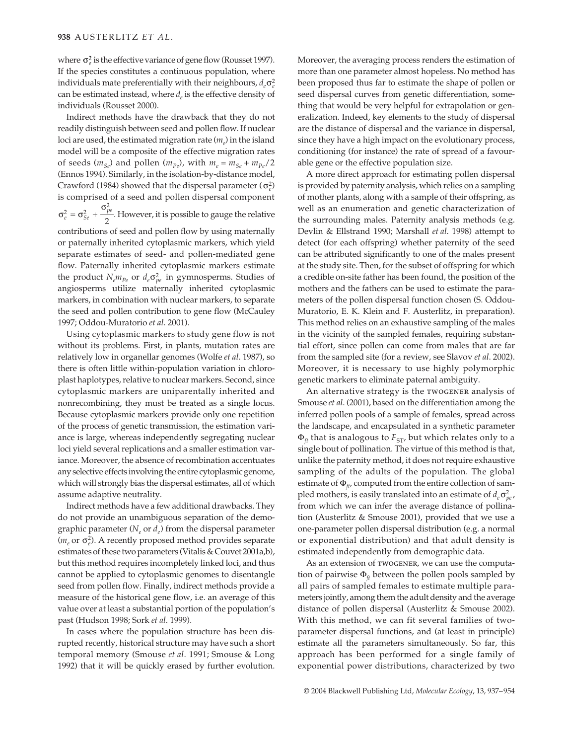where  $\sigma_e^2$  is the effective variance of gene flow (Rousset 1997). If the species constitutes a continuous population, where individuals mate preferentially with their neighbours,  $d_e \sigma_e^2$ can be estimated instead, where  $d_e$  is the effective density of individuals (Rousset 2000).

Indirect methods have the drawback that they do not readily distinguish between seed and pollen flow. If nuclear loci are used, the estimated migration rate ( $m_e$ ) in the island model will be a composite of the effective migration rates of seeds  $(m_{S_e})$  and pollen  $(m_{Pe})$ , with  $m_e = m_{Se} + m_{Pe}/2$ (Ennos 1994). Similarly, in the isolation-by-distance model, Crawford (1984) showed that the dispersal parameter  $(\sigma_e^2)$ is comprised of a seed and pollen dispersal component  $\sigma_{\rm g}^2 = \sigma_{\rm S_{\rm g}}^2 + \frac{\sigma_{\rm g}^2}{2}$ . However, it is possible to gauge the relative  $e^2 = \sigma_{Se}^2 + \frac{\sigma_{pe}^2}{2}$ 

contributions of seed and pollen flow by using maternally or paternally inherited cytoplasmic markers, which yield separate estimates of seed- and pollen-mediated gene flow. Paternally inherited cytoplasmic markers estimate the product  $N_e m_{Pe}$  or  $d_e \sigma_{pe}^2$  in gymnosperms. Studies of angiosperms utilize maternally inherited cytoplasmic markers, in combination with nuclear markers, to separate the seed and pollen contribution to gene flow (McCauley 1997; Oddou-Muratorio *et al*. 2001).

Using cytoplasmic markers to study gene flow is not without its problems. First, in plants, mutation rates are relatively low in organellar genomes (Wolfe *et al*. 1987), so there is often little within-population variation in chloroplast haplotypes, relative to nuclear markers. Second, since cytoplasmic markers are uniparentally inherited and nonrecombining, they must be treated as a single locus. Because cytoplasmic markers provide only one repetition of the process of genetic transmission, the estimation variance is large, whereas independently segregating nuclear loci yield several replications and a smaller estimation variance. Moreover, the absence of recombination accentuates any selective effects involving the entire cytoplasmic genome, which will strongly bias the dispersal estimates, all of which assume adaptive neutrality.

Indirect methods have a few additional drawbacks. They do not provide an unambiguous separation of the demographic parameter  $(N_e \text{ or } d_e)$  from the dispersal parameter (*m*<sub>*e*</sub> or σ<sup>2</sup>). A recently proposed method provides separate estimates of these two parameters (Vitalis & Couvet 2001a,b), but this method requires incompletely linked loci, and thus cannot be applied to cytoplasmic genomes to disentangle seed from pollen flow. Finally, indirect methods provide a measure of the historical gene flow, i.e. an average of this value over at least a substantial portion of the population's past (Hudson 1998; Sork *et al*. 1999).

In cases where the population structure has been disrupted recently, historical structure may have such a short temporal memory (Smouse *et al*. 1991; Smouse & Long 1992) that it will be quickly erased by further evolution. Moreover, the averaging process renders the estimation of more than one parameter almost hopeless. No method has been proposed thus far to estimate the shape of pollen or seed dispersal curves from genetic differentiation, something that would be very helpful for extrapolation or generalization. Indeed, key elements to the study of dispersal are the distance of dispersal and the variance in dispersal, since they have a high impact on the evolutionary process, conditioning (for instance) the rate of spread of a favourable gene or the effective population size.

A more direct approach for estimating pollen dispersal is provided by paternity analysis, which relies on a sampling of mother plants, along with a sample of their offspring, as well as an enumeration and genetic characterization of the surrounding males. Paternity analysis methods (e.g. Devlin & Ellstrand 1990; Marshall *et al*. 1998) attempt to detect (for each offspring) whether paternity of the seed can be attributed significantly to one of the males present at the study site. Then, for the subset of offspring for which a credible on-site father has been found, the position of the mothers and the fathers can be used to estimate the parameters of the pollen dispersal function chosen (S. Oddou-Muratorio, E. K. Klein and F. Austerlitz, in preparation). This method relies on an exhaustive sampling of the males in the vicinity of the sampled females, requiring substantial effort, since pollen can come from males that are far from the sampled site (for a review, see Slavov *et al*. 2002). Moreover, it is necessary to use highly polymorphic genetic markers to eliminate paternal ambiguity.

An alternative strategy is the TWOGENER analysis of Smouse *et al*. (2001), based on the differentiation among the inferred pollen pools of a sample of females, spread across the landscape, and encapsulated in a synthetic parameter  $\Phi_{ft}$  that is analogous to  $F_{ST}$ , but which relates only to a single bout of pollination. The virtue of this method is that, unlike the paternity method, it does not require exhaustive sampling of the adults of the population. The global estimate of  $\Phi_{\mu}$ , computed from the entire collection of sampled mothers, is easily translated into an estimate of  $d_e \sigma_{pe}^2$ , from which we can infer the average distance of pollination (Austerlitz & Smouse 2001), provided that we use a one-parameter pollen dispersal distribution (e.g. a normal or exponential distribution) and that adult density is estimated independently from demographic data.

As an extension of twogener, we can use the computation of pairwise  $\Phi_{\mu}$  between the pollen pools sampled by all pairs of sampled females to estimate multiple parameters jointly, among them the adult density and the average distance of pollen dispersal (Austerlitz & Smouse 2002). With this method, we can fit several families of twoparameter dispersal functions, and (at least in principle) estimate all the parameters simultaneously. So far, this approach has been performed for a single family of exponential power distributions, characterized by two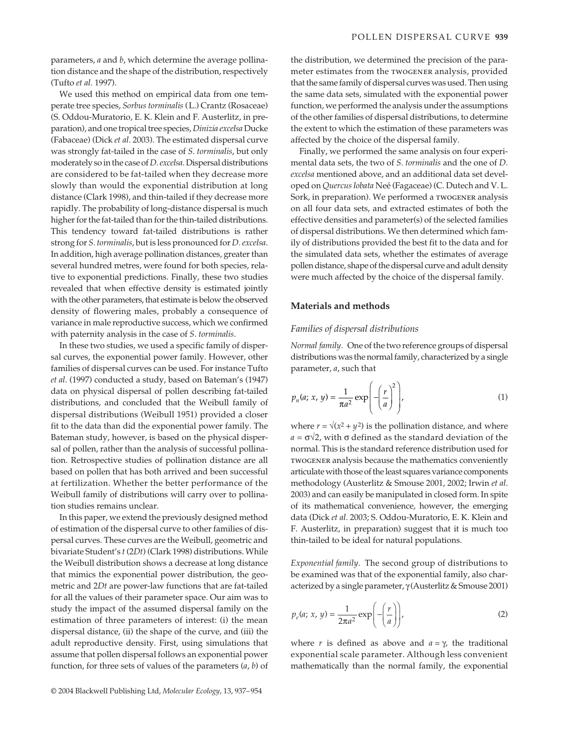parameters, *a* and *b*, which determine the average pollination distance and the shape of the distribution, respectively (Tufto *et al*. 1997).

We used this method on empirical data from one temperate tree species, *Sorbus torminalis* (L.) Crantz (Rosaceae) (S. Oddou-Muratorio, E. K. Klein and F. Austerlitz, in preparation), and one tropical tree species, *Dinizia excelsa* Ducke (Fabaceae) (Dick *et al*. 2003). The estimated dispersal curve was strongly fat-tailed in the case of *S. torminalis*, but only moderately so in the case of *D. excelsa*. Dispersal distributions are considered to be fat-tailed when they decrease more slowly than would the exponential distribution at long distance (Clark 1998), and thin-tailed if they decrease more rapidly. The probability of long-distance dispersal is much higher for the fat-tailed than for the thin-tailed distributions. This tendency toward fat-tailed distributions is rather strong for *S. torminalis*, but is less pronounced for *D. excelsa*. In addition, high average pollination distances, greater than several hundred metres, were found for both species, relative to exponential predictions. Finally, these two studies revealed that when effective density is estimated jointly with the other parameters, that estimate is below the observed density of flowering males, probably a consequence of variance in male reproductive success, which we confirmed with paternity analysis in the case of *S. torminalis*.

In these two studies, we used a specific family of dispersal curves, the exponential power family. However, other families of dispersal curves can be used. For instance Tufto *et al*. (1997) conducted a study, based on Bateman's (1947) data on physical dispersal of pollen describing fat-tailed distributions, and concluded that the Weibull family of dispersal distributions (Weibull 1951) provided a closer fit to the data than did the exponential power family. The Bateman study, however, is based on the physical dispersal of pollen, rather than the analysis of successful pollination. Retrospective studies of pollination distance are all based on pollen that has both arrived and been successful at fertilization. Whether the better performance of the Weibull family of distributions will carry over to pollination studies remains unclear.

In this paper, we extend the previously designed method of estimation of the dispersal curve to other families of dispersal curves. These curves are the Weibull, geometric and bivariate Student's *t* (2*Dt*) (Clark 1998) distributions. While the Weibull distribution shows a decrease at long distance that mimics the exponential power distribution, the geometric and 2*Dt* are power-law functions that are fat-tailed for all the values of their parameter space. Our aim was to study the impact of the assumed dispersal family on the estimation of three parameters of interest: (i) the mean dispersal distance, (ii) the shape of the curve, and (iii) the adult reproductive density. First, using simulations that assume that pollen dispersal follows an exponential power function, for three sets of values of the parameters (*a*, *b*) of the distribution, we determined the precision of the parameter estimates from the twogener analysis, provided that the same family of dispersal curves was used. Then using the same data sets, simulated with the exponential power function, we performed the analysis under the assumptions of the other families of dispersal distributions, to determine the extent to which the estimation of these parameters was affected by the choice of the dispersal family.

Finally, we performed the same analysis on four experimental data sets, the two of *S. torminalis* and the one of *D. excelsa* mentioned above, and an additional data set developed on *Quercus lobata* Neé (Fagaceae) (C. Dutech and V. L. Sork, in preparation). We performed a TWOGENER analysis on all four data sets, and extracted estimates of both the effective densities and parameter(s) of the selected families of dispersal distributions. We then determined which family of distributions provided the best fit to the data and for the simulated data sets, whether the estimates of average pollen distance, shape of the dispersal curve and adult density were much affected by the choice of the dispersal family.

# **Materials and methods**

## *Families of dispersal distributions*

*Normal family.* One of the two reference groups of dispersal distributions was the normal family, characterized by a single parameter, *a*, such that

$$
p_n(a; x, y) = \frac{1}{\pi a^2} \exp\left(-\left(\frac{r}{a}\right)^2\right),\tag{1}
$$

where  $r = \sqrt{x^2 + y^2}$  is the pollination distance, and where  $a = \sigma \sqrt{2}$ , with  $\sigma$  defined as the standard deviation of the normal. This is the standard reference distribution used for twogener analysis because the mathematics conveniently articulate with those of the least squares variance components methodology (Austerlitz & Smouse 2001, 2002; Irwin *et al*. 2003) and can easily be manipulated in closed form. In spite of its mathematical convenience, however, the emerging data (Dick *et al*. 2003; S. Oddou-Muratorio, E. K. Klein and F. Austerlitz, in preparation) suggest that it is much too thin-tailed to be ideal for natural populations.

*Exponential family*. The second group of distributions to be examined was that of the exponential family, also characterized by a single parameter, γ (Austerlitz & Smouse 2001)

$$
p_e(a; x, y) = \frac{1}{2\pi a^2} \exp\left(-\left(\frac{r}{a}\right)\right),\tag{2}
$$

where *r* is defined as above and  $a = \gamma$ , the traditional exponential scale parameter. Although less convenient mathematically than the normal family, the exponential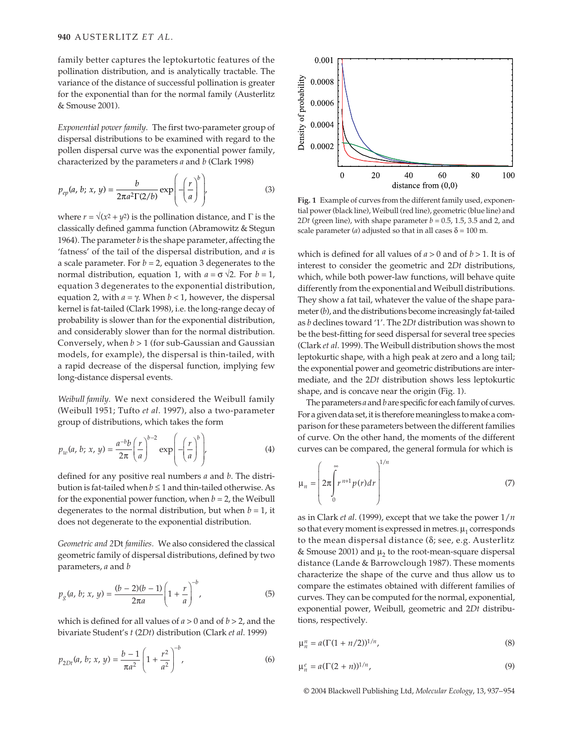family better captures the leptokurtotic features of the pollination distribution, and is analytically tractable. The variance of the distance of successful pollination is greater for the exponential than for the normal family (Austerlitz & Smouse 2001).

*Exponential power family*. The first two-parameter group of dispersal distributions to be examined with regard to the pollen dispersal curve was the exponential power family, characterized by the parameters *a* and *b* (Clark 1998)

$$
p_{ep}(a, b; x, y) = \frac{b}{2\pi a^2 \Gamma(2/b)} \exp\left(-\left(\frac{r}{a}\right)^b\right),\tag{3}
$$

where  $r = \sqrt{x^2 + y^2}$  is the pollination distance, and  $\Gamma$  is the classically defined gamma function (Abramowitz & Stegun 1964). The parameter *b* is the shape parameter, affecting the 'fatness' of the tail of the dispersal distribution, and *a* is a scale parameter. For  $b = 2$ , equation 3 degenerates to the normal distribution, equation 1, with  $a = \sigma \sqrt{2}$ . For  $b = 1$ , equation 3 degenerates to the exponential distribution, equation 2, with *a* = γ. When *b* < 1, however, the dispersal kernel is fat-tailed (Clark 1998), i.e. the long-range decay of probability is slower than for the exponential distribution, and considerably slower than for the normal distribution. Conversely, when *b* > 1 (for sub-Gaussian and Gaussian models, for example), the dispersal is thin-tailed, with a rapid decrease of the dispersal function, implying few long-distance dispersal events.

*Weibull family.* We next considered the Weibull family (Weibull 1951; Tufto *et al*. 1997), also a two-parameter group of distributions, which takes the form

$$
p_w(a, b; x, y) = \frac{a^{-b}b}{2\pi} \left(\frac{r}{a}\right)^{b-2} \exp\left(-\left(\frac{r}{a}\right)^b\right),\tag{4}
$$

defined for any positive real numbers *a* and *b*. The distribution is fat-tailed when *b* ≤ 1 and thin-tailed otherwise. As for the exponential power function, when  $b = 2$ , the Weibull degenerates to the normal distribution, but when  $b = 1$ , it does not degenerate to the exponential distribution.

*Geometric and 2*Dt *families.* We also considered the classical geometric family of dispersal distributions, defined by two parameters, *a* and *b*

$$
p_g(a, b; x, y) = \frac{(b-2)(b-1)}{2\pi a} \left(1 + \frac{r}{a}\right)^{-b},
$$
\n(5)

which is defined for all values of *a* > 0 and of *b* > 2, and the bivariate Student's *t* (2*Dt*) distribution (Clark *et al*. 1999)

$$
p_{2Dt}(a, b; x, y) = \frac{b-1}{\pi a^2} \left( 1 + \frac{r^2}{a^2} \right)^{-b},
$$
 (6)



**Fig. 1** Example of curves from the different family used, exponential power (black line), Weibull (red line), geometric (blue line) and 2*Dt* (green line), with shape parameter  $b = 0.5$ , 1.5, 3.5 and 2, and scale parameter (*a*) adjusted so that in all cases  $\delta = 100$  m.

which is defined for all values of *a* > 0 and of *b* > 1. It is of interest to consider the geometric and 2*Dt* distributions, which, while both power-law functions, will behave quite differently from the exponential and Weibull distributions. They show a fat tail, whatever the value of the shape parameter (*b*), and the distributions become increasingly fat-tailed as *b* declines toward '1'. The 2*Dt* distribution was shown to be the best-fitting for seed dispersal for several tree species (Clark *et al*. 1999). The Weibull distribution shows the most leptokurtic shape, with a high peak at zero and a long tail; the exponential power and geometric distributions are intermediate, and the 2*Dt* distribution shows less leptokurtic shape, and is concave near the origin (Fig. 1).

The parameters *a* and *b* are specific for each family of curves. For a given data set, it is therefore meaningless to make a comparison for these parameters between the different families of curve. On the other hand, the moments of the different curves can be compared, the general formula for which is

$$
\mu_n = \left(2\pi \int_0^\infty r^{n+1} p(r) dr\right)^{1/n} \tag{7}
$$

as in Clark *et al*. (1999), except that we take the power 1/*n* so that every moment is expressed in metres.  $\mu_1$  corresponds to the mean dispersal distance (δ; see, e.g. Austerlitz & Smouse 2001) and  $\mu$ , to the root-mean-square dispersal distance (Lande & Barrowclough 1987). These moments characterize the shape of the curve and thus allow us to compare the estimates obtained with different families of curves. They can be computed for the normal, exponential, exponential power, Weibull, geometric and 2*Dt* distributions, respectively.

$$
\mu_n^n = a(\Gamma(1 + n/2))^{1/n},\tag{8}
$$

$$
\mu_n^e = a(\Gamma(2+n))^{1/n},\tag{9}
$$

© 2004 Blackwell Publishing Ltd, *Molecular Ecology*, 13, 937–954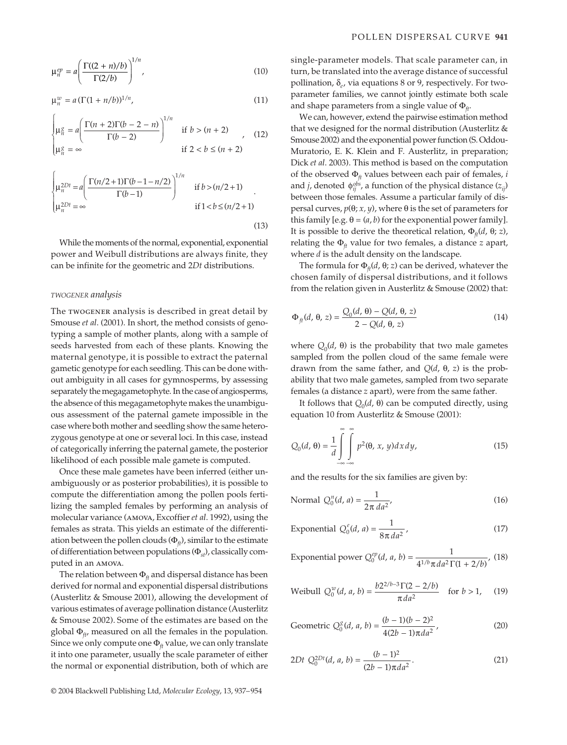$$
\mu_n^{ep} = a \left( \frac{\Gamma((2+n)/b)}{\Gamma(2/b)} \right)^{1/n},\tag{10}
$$

$$
\mu_n^w = a \left( \Gamma(1 + n/b) \right)^{1/n},\tag{11}
$$

$$
\begin{cases}\n\mu_n^g = a \left( \frac{\Gamma(n+2)\Gamma(b-2-n)}{\Gamma(b-2)} \right)^{1/n} & \text{if } b > (n+2) \\
\mu_n^g = \infty & \text{if } 2 < b \le (n+2)\n\end{cases}
$$
\n(12)

$$
\begin{cases}\n\mu_n^{2Dt} = a \left( \frac{\Gamma(n/2 + 1)\Gamma(b - 1 - n/2)}{\Gamma(b - 1)} \right)^{1/n} & \text{if } b > (n/2 + 1) \\
\mu_n^{2Dt} = \infty & \text{if } 1 < b \le (n/2 + 1)\n\end{cases}
$$
\n(13)

While the moments of the normal, exponential, exponential power and Weibull distributions are always finite, they can be infinite for the geometric and 2*Dt* distributions.

#### *TWOGENER analysis*

The TWOGENER analysis is described in great detail by Smouse *et al*. (2001). In short, the method consists of genotyping a sample of mother plants, along with a sample of seeds harvested from each of these plants. Knowing the maternal genotype, it is possible to extract the paternal gametic genotype for each seedling. This can be done without ambiguity in all cases for gymnosperms, by assessing separately the megagametophyte. In the case of angiosperms, the absence of this megagametophyte makes the unambiguous assessment of the paternal gamete impossible in the case where both mother and seedling show the same heterozygous genotype at one or several loci. In this case, instead of categorically inferring the paternal gamete, the posterior likelihood of each possible male gamete is computed.

Once these male gametes have been inferred (either unambiguously or as posterior probabilities), it is possible to compute the differentiation among the pollen pools fertilizing the sampled females by performing an analysis of molecular variance (amova, Excoffier *et al*. 1992), using the females as strata. This yields an estimate of the differentiation between the pollen clouds  $(\Phi_{\mu})$ , similar to the estimate of differentiation between populations (Φ*st*), classically computed in an amova.

The relation between  $\Phi_{\mu}$  and dispersal distance has been derived for normal and exponential dispersal distributions (Austerlitz & Smouse 2001), allowing the development of various estimates of average pollination distance (Austerlitz & Smouse 2002). Some of the estimates are based on the global  $\Phi_{\mu}$ , measured on all the females in the population. Since we only compute one  $\Phi_{\mu}$  value, we can only translate it into one parameter, usually the scale parameter of either the normal or exponential distribution, both of which are single-parameter models. That scale parameter can, in turn, be translated into the average distance of successful pollination, δ*e*, via equations 8 or 9, respectively. For twoparameter families, we cannot jointly estimate both scale and shape parameters from a single value of  $\Phi_{\mu}$ .

We can, however, extend the pairwise estimation method that we designed for the normal distribution (Austerlitz & Smouse 2002) and the exponential power function (S. Oddou-Muratorio, E. K. Klein and F. Austerlitz, in preparation; Dick *et al*. 2003). This method is based on the computation of the observed Φ*ft* values between each pair of females, *i* and *j*, denoted  $\phi_{ij}^{obs}$ , a function of the physical distance  $(z_{ij})$ between those females. Assume a particular family of dispersal curves, *p*(θ; *x, y*), where θ is the set of parameters for this family [e.g.  $\theta = (a, b)$  for the exponential power family]. It is possible to derive the theoretical relation,  $Φ$ <sub>*ft</sub>*(*d*, θ; *z*),</sub> relating the  $\Phi_{ft}$  value for two females, a distance *z* apart, where *d* is the adult density on the landscape.

The formula for  $\Phi_{\mu}(d, \theta; z)$  can be derived, whatever the chosen family of dispersal distributions, and it follows from the relation given in Austerlitz & Smouse (2002) that:

$$
\Phi_{ft}(d,\,\theta,\,z) = \frac{Q_0(d,\,\theta) - Q(d,\,\theta,\,z)}{2 - Q(d,\,\theta,\,z)}
$$
(14)

where  $Q_0$ (*d*, θ) is the probability that two male gametes sampled from the pollen cloud of the same female were drawn from the same father, and *Q*(*d*, θ, *z*) is the probability that two male gametes, sampled from two separate females (a distance *z* apart), were from the same father.

It follows that  $Q_0$ (*d*, θ) can be computed directly, using equation 10 from Austerlitz & Smouse (2001):

$$
Q_0(d, \theta) = \frac{1}{d} \int_{-\infty}^{\infty} \int_{-\infty}^{\infty} p^2(\theta, x, y) dx dy,
$$
 (15)

and the results for the six families are given by:

Normal 
$$
Q_0^n(d, a) = \frac{1}{2\pi a a^2}
$$
, (16)

Exponential 
$$
Q_0^e(d, a) = \frac{1}{8\pi a a^2}
$$
, (17)

Exponential power 
$$
Q_0^{ep}(d, a, b) = \frac{1}{4^{1/b} \pi da^2 \Gamma(1 + 2/b)}
$$
, (18)

Weibull 
$$
Q_0^w(d, a, b) = \frac{b2^{2/b-3}\Gamma(2 - 2/b)}{\pi da^2}
$$
 for  $b > 1$ , (19)

Geometric 
$$
Q_0^g(d, a, b) = \frac{(b-1)(b-2)^2}{4(2b-1)\pi da^2}
$$
, (20)

$$
2Dt \tQ_0^{2Dt}(d, a, b) = \frac{(b-1)^2}{(2b-1)\pi da^2}.
$$
\t(21)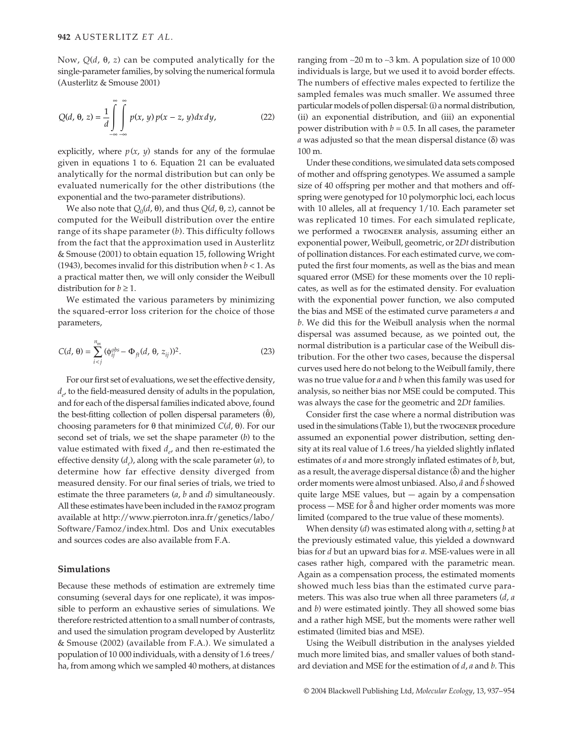Now, *Q*(*d*, θ, *z*) can be computed analytically for the single-parameter families, by solving the numerical formula (Austerlitz & Smouse 2001)

$$
Q(d, \theta, z) = \frac{1}{d} \int_{-\infty}^{\infty} \int_{-\infty}^{\infty} p(x, y) p(x - z, y) dx dy,
$$
 (22)

explicitly, where  $p(x, y)$  stands for any of the formulae given in equations 1 to 6. Equation 21 can be evaluated analytically for the normal distribution but can only be evaluated numerically for the other distributions (the exponential and the two-parameter distributions).

We also note that  $Q_0$ (*d*, θ), and thus  $Q$ (*d*, θ, *z*), cannot be computed for the Weibull distribution over the entire range of its shape parameter (*b*). This difficulty follows from the fact that the approximation used in Austerlitz & Smouse (2001) to obtain equation 15, following Wright (1943), becomes invalid for this distribution when *b* < 1. As a practical matter then, we will only consider the Weibull distribution for  $b \geq 1$ .

We estimated the various parameters by minimizing the squared-error loss criterion for the choice of those parameters,

$$
C(d, \theta) = \sum_{i < j}^{n_m} (\phi_{ij}^{obs} - \Phi_{ft}(d, \theta, z_{ij}))^2.
$$
 (23)

For our first set of evaluations, we set the effective density, *de* , to the field-measured density of adults in the population, and for each of the dispersal families indicated above, found the best-fitting collection of pollen dispersal parameters  $(\hat{\theta})$ , choosing parameters for θ that minimized *C*(*d*, θ). For our second set of trials, we set the shape parameter (*b*) to the value estimated with fixed  $d_{e}$ , and then re-estimated the effective density ( $d_e$ ), along with the scale parameter (*a*), to determine how far effective density diverged from measured density. For our final series of trials, we tried to estimate the three parameters (*a*, *b* and *d*) simultaneously. All these estimates have been included in the famoz program available at http://www.pierroton.inra.fr/genetics/labo/ Software/Famoz/index.html. Dos and Unix executables and sources codes are also available from F.A.

# **Simulations**

Because these methods of estimation are extremely time consuming (several days for one replicate), it was impossible to perform an exhaustive series of simulations. We therefore restricted attention to a small number of contrasts, and used the simulation program developed by Austerlitz & Smouse (2002) (available from F.A.). We simulated a population of 10 000 individuals, with a density of 1.6 trees/ ha, from among which we sampled 40 mothers, at distances

ranging from ∼20 m to ∼3 km. A population size of 10 000 individuals is large, but we used it to avoid border effects. The numbers of effective males expected to fertilize the sampled females was much smaller. We assumed three particular models of pollen dispersal: (i) a normal distribution, (ii) an exponential distribution, and (iii) an exponential power distribution with  $b = 0.5$ . In all cases, the parameter *a* was adjusted so that the mean dispersal distance (δ) was 100 m.

Under these conditions, we simulated data sets composed of mother and offspring genotypes. We assumed a sample size of 40 offspring per mother and that mothers and offspring were genotyped for 10 polymorphic loci, each locus with 10 alleles, all at frequency 1/10. Each parameter set was replicated 10 times. For each simulated replicate, we performed a twogener analysis, assuming either an exponential power, Weibull, geometric, or 2*Dt* distribution of pollination distances. For each estimated curve, we computed the first four moments, as well as the bias and mean squared error (MSE) for these moments over the 10 replicates, as well as for the estimated density. For evaluation with the exponential power function, we also computed the bias and MSE of the estimated curve parameters *a* and *b*. We did this for the Weibull analysis when the normal dispersal was assumed because, as we pointed out, the normal distribution is a particular case of the Weibull distribution. For the other two cases, because the dispersal curves used here do not belong to the Weibull family, there was no true value for *a* and *b* when this family was used for analysis, so neither bias nor MSE could be computed. This was always the case for the geometric and 2*Dt* families.

Consider first the case where a normal distribution was used in the simulations (Table 1), but the TWOGENER procedure assumed an exponential power distribution, setting density at its real value of 1.6 trees/ha yielded slightly inflated estimates of *a* and more strongly inflated estimates of *b*, but, as a result, the average dispersal distance  $(\delta)$  and the higher order moments were almost unbiased. Also, *â* and *b* showed quite large MSE values, but  $-$  again by a compensation process  $-$  MSE for  $\delta$  and higher order moments was more limited (compared to the true value of these moments).

When density (*d*) was estimated along with *a*, setting *b* at the previously estimated value, this yielded a downward bias for *d* but an upward bias for *a*. MSE-values were in all cases rather high, compared with the parametric mean. Again as a compensation process, the estimated moments showed much less bias than the estimated curve parameters. This was also true when all three parameters (*d*, *a* and *b*) were estimated jointly. They all showed some bias and a rather high MSE, but the moments were rather well estimated (limited bias and MSE).

Using the Weibull distribution in the analyses yielded much more limited bias, and smaller values of both standard deviation and MSE for the estimation of *d*, *a* and *b*. This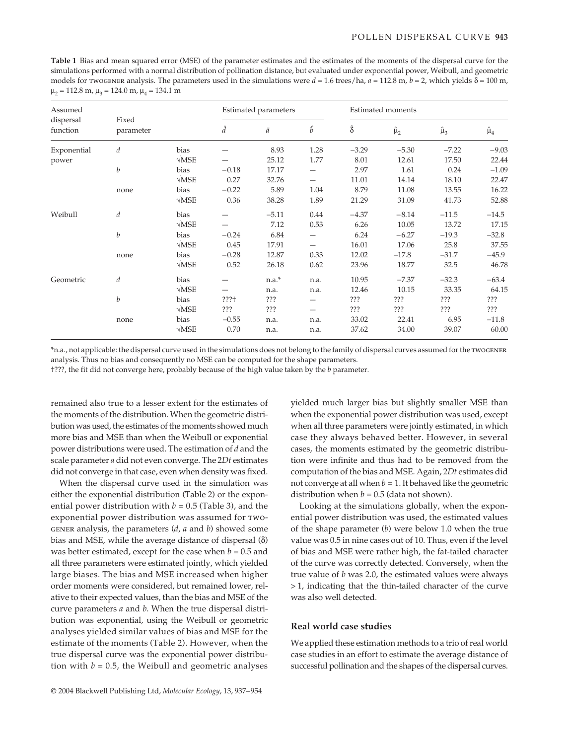**Table 1** Bias and mean squared error (MSE) of the parameter estimates and the estimates of the moments of the dispersal curve for the simulations performed with a normal distribution of pollination distance, but evaluated under exponential power, Weibull, and geometric models for τwogener analysis. The parameters used in the simulations were  $d = 1.6$  trees/ha,  $a = 112.8$  m,  $b = 2$ , which yields δ = 100 m,  $\mu_2$  = 112.8 m,  $\mu_3$  = 124.0 m,  $\mu_4$  = 134.1 m

| Assumed               |                    |              |         | Estimated parameters |      |                | <b>Estimated moments</b> |               |               |
|-----------------------|--------------------|--------------|---------|----------------------|------|----------------|--------------------------|---------------|---------------|
| dispersal<br>function | Fixed<br>parameter |              | â       | $\bar{a}$            | ĥ    | $\hat{\delta}$ | $\hat{\mu}_2$            | $\hat{\mu}_3$ | $\hat{\mu}_4$ |
| Exponential           | d                  | bias         |         | 8.93                 | 1.28 | $-3.29$        | $-5.30$                  | $-7.22$       | $-9.03$       |
| power                 |                    | $\sqrt{MSE}$ |         | 25.12                | 1.77 | 8.01           | 12.61                    | 17.50         | 22.44         |
|                       | b                  | bias         | $-0.18$ | 17.17                |      | 2.97           | 1.61                     | 0.24          | $-1.09$       |
|                       |                    | $\sqrt{MSE}$ | 0.27    | 32.76                |      | 11.01          | 14.14                    | 18.10         | 22.47         |
|                       | none               | bias         | $-0.22$ | 5.89                 | 1.04 | 8.79           | 11.08                    | 13.55         | 16.22         |
|                       |                    | $\sqrt{MSE}$ | 0.36    | 38.28                | 1.89 | 21.29          | 31.09                    | 41.73         | 52.88         |
| Weibull               | d                  | bias         |         | $-5.11$              | 0.44 | $-4.37$        | $-8.14$                  | $-11.5$       | $-14.5$       |
|                       |                    | $\sqrt{MSE}$ |         | 7.12                 | 0.53 | 6.26           | 10.05                    | 13.72         | 17.15         |
|                       | b                  | bias         | $-0.24$ | 6.84                 | —    | 6.24           | $-6.27$                  | $-19.3$       | $-32.8$       |
|                       |                    | $\sqrt{MSE}$ | 0.45    | 17.91                |      | 16.01          | 17.06                    | 25.8          | 37.55         |
|                       | none               | bias         | $-0.28$ | 12.87                | 0.33 | 12.02          | $-17.8$                  | $-31.7$       | $-45.9$       |
|                       |                    | $\sqrt{MSE}$ | 0.52    | 26.18                | 0.62 | 23.96          | 18.77                    | 32.5          | 46.78         |
| Geometric             | d                  | bias         |         | $n.a.*$              | n.a. | 10.95          | $-7.37$                  | $-32.3$       | $-63.4$       |
|                       |                    | $\sqrt{MSE}$ |         | n.a.                 | n.a. | 12.46          | 10.15                    | 33.35         | 64.15         |
|                       | b                  | bias         | $???+$  | ???                  |      | ???            | ???                      | ???           | ???           |
|                       |                    | $\sqrt{MSE}$ | ???     | ???                  | —    | ???            | ???                      | ???           | ???           |
|                       | none               | bias         | $-0.55$ | n.a.                 | n.a. | 33.02          | 22.41                    | 6.95          | $-11.8$       |
|                       |                    | $\sqrt{MSE}$ | 0.70    | n.a.                 | n.a. | 37.62          | 34.00                    | 39.07         | 60.00         |

\*n.a., not applicable: the dispersal curve used in the simulations does not belong to the family of dispersal curves assumed for the twogener analysis. Thus no bias and consequently no MSE can be computed for the shape parameters.

†???, the fit did not converge here, probably because of the high value taken by the *b* parameter.

remained also true to a lesser extent for the estimates of the moments of the distribution. When the geometric distribution was used, the estimates of the moments showed much more bias and MSE than when the Weibull or exponential power distributions were used. The estimation of *d* and the scale parameter *a* did not even converge. The 2*Dt* estimates did not converge in that case, even when density was fixed.

When the dispersal curve used in the simulation was either the exponential distribution (Table 2) or the exponential power distribution with  $b = 0.5$  (Table 3), and the exponential power distribution was assumed for twogener analysis, the parameters (*d*, *a* and *b*) showed some bias and MSE, while the average distance of dispersal (δ) was better estimated, except for the case when  $b = 0.5$  and all three parameters were estimated jointly, which yielded large biases. The bias and MSE increased when higher order moments were considered, but remained lower, relative to their expected values, than the bias and MSE of the curve parameters *a* and *b*. When the true dispersal distribution was exponential, using the Weibull or geometric analyses yielded similar values of bias and MSE for the estimate of the moments (Table 2). However, when the true dispersal curve was the exponential power distribution with  $b = 0.5$ , the Weibull and geometric analyses yielded much larger bias but slightly smaller MSE than when the exponential power distribution was used, except when all three parameters were jointly estimated, in which case they always behaved better. However, in several cases, the moments estimated by the geometric distribution were infinite and thus had to be removed from the computation of the bias and MSE. Again, 2*Dt* estimates did not converge at all when  $b = 1$ . It behaved like the geometric distribution when  $b = 0.5$  (data not shown).

Looking at the simulations globally, when the exponential power distribution was used, the estimated values of the shape parameter (*b*) were below 1.0 when the true value was 0.5 in nine cases out of 10. Thus, even if the level of bias and MSE were rather high, the fat-tailed character of the curve was correctly detected. Conversely, when the true value of *b* was 2.0, the estimated values were always > 1, indicating that the thin-tailed character of the curve was also well detected.

# **Real world case studies**

We applied these estimation methods to a trio of real world case studies in an effort to estimate the average distance of successful pollination and the shapes of the dispersal curves.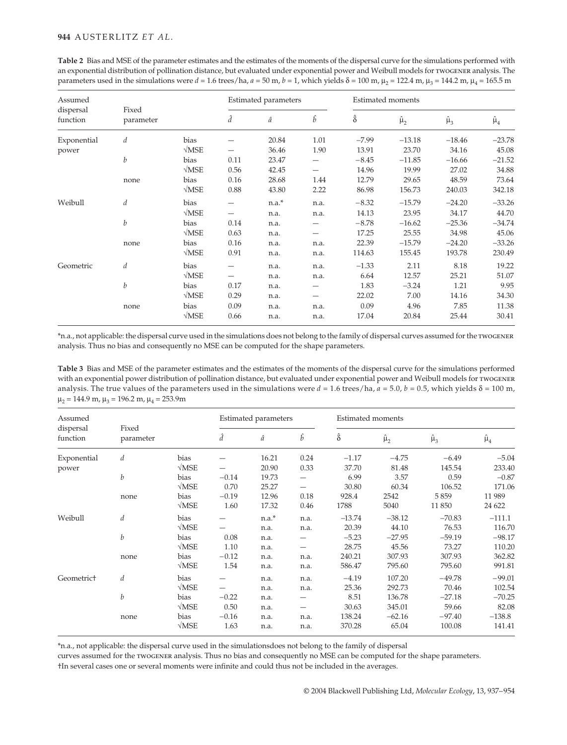**Table 2** Bias and MSE of the parameter estimates and the estimates of the moments of the dispersal curve for the simulations performed with an exponential distribution of pollination distance, but evaluated under exponential power and Weibull models for twogener analysis. The parameters used in the simulations were  $d = 1.6$  trees/ha,  $a = 50$  m,  $b = 1$ , which yields  $\delta = 100$  m,  $\mu_2 = 122.4$  m,  $\mu_3 = 144.2$  m,  $\mu_4 = 165.5$  m

| Assumed               |                    |              |                          | Estimated parameters |           |                | <b>Estimated moments</b> |               |               |
|-----------------------|--------------------|--------------|--------------------------|----------------------|-----------|----------------|--------------------------|---------------|---------------|
| dispersal<br>function | Fixed<br>parameter |              | â                        | â                    | $\hat{b}$ | $\hat{\delta}$ | $\hat{\mu}_2$            | $\hat{\mu}_3$ | $\hat{\mu}_4$ |
| Exponential           | $\boldsymbol{d}$   | bias         |                          | 20.84                | 1.01      | $-7.99$        | $-13.18$                 | $-18.46$      | $-23.78$      |
| power                 |                    | $\sqrt{MSE}$ |                          | 36.46                | 1.90      | 13.91          | 23.70                    | 34.16         | 45.08         |
|                       | b                  | bias         | 0.11                     | 23.47                | —         | $-8.45$        | $-11.85$                 | $-16.66$      | $-21.52$      |
|                       |                    | $\sqrt{MSE}$ | 0.56                     | 42.45                |           | 14.96          | 19.99                    | 27.02         | 34.88         |
|                       | none               | bias         | 0.16                     | 28.68                | 1.44      | 12.79          | 29.65                    | 48.59         | 73.64         |
|                       |                    | $\sqrt{MSE}$ | 0.88                     | 43.80                | 2.22      | 86.98          | 156.73                   | 240.03        | 342.18        |
| Weibull               | $\boldsymbol{d}$   | bias         |                          | $n.a.*$              | n.a.      | $-8.32$        | $-15.79$                 | $-24.20$      | $-33.26$      |
|                       |                    | $\sqrt{MSE}$ | $\qquad \qquad$          | n.a.                 | n.a.      | 14.13          | 23.95                    | 34.17         | 44.70         |
|                       | b                  | bias         | 0.14                     | n.a.                 | —         | $-8.78$        | $-16.62$                 | $-25.36$      | $-34.74$      |
|                       |                    | $\sqrt{MSE}$ | 0.63                     | n.a.                 | —         | 17.25          | 25.55                    | 34.98         | 45.06         |
|                       | none               | bias         | 0.16                     | n.a.                 | n.a.      | 22.39          | $-15.79$                 | $-24.20$      | $-33.26$      |
|                       |                    | $\sqrt{MSE}$ | 0.91                     | n.a.                 | n.a.      | 114.63         | 155.45                   | 193.78        | 230.49        |
| Geometric             | d                  | bias         | $\qquad \qquad -$        | n.a.                 | n.a.      | $-1.33$        | 2.11                     | 8.18          | 19.22         |
|                       |                    | $\sqrt{MSE}$ | $\overline{\phantom{m}}$ | n.a.                 | n.a.      | 6.64           | 12.57                    | 25.21         | 51.07         |
|                       | $\boldsymbol{b}$   | bias         | 0.17                     | n.a.                 |           | 1.83           | $-3.24$                  | 1.21          | 9.95          |
|                       |                    | $\sqrt{MSE}$ | 0.29                     | n.a.                 | —         | 22.02          | 7.00                     | 14.16         | 34.30         |
|                       | none               | bias         | 0.09                     | n.a.                 | n.a.      | 0.09           | 4.96                     | 7.85          | 11.38         |
|                       |                    | $\sqrt{MSE}$ | 0.66                     | n.a.                 | n.a.      | 17.04          | 20.84                    | 25.44         | 30.41         |

\*n.a., not applicable: the dispersal curve used in the simulations does not belong to the family of dispersal curves assumed for the twogener analysis. Thus no bias and consequently no MSE can be computed for the shape parameters.

**Table 3** Bias and MSE of the parameter estimates and the estimates of the moments of the dispersal curve for the simulations performed with an exponential power distribution of pollination distance, but evaluated under exponential power and Weibull models for twogener analysis. The true values of the parameters used in the simulations were  $d = 1.6$  trees/ha,  $a = 5.0$ ,  $b = 0.5$ , which yields  $\delta = 100$  m,  $\mu_2$  = 144.9 m,  $\mu_3$  = 196.2 m,  $\mu_4$  = 253.9m

| Assumed                |                    |              |         | Estimated parameters |      | <b>Estimated moments</b> |               |               |               |
|------------------------|--------------------|--------------|---------|----------------------|------|--------------------------|---------------|---------------|---------------|
| dispersal<br>function  | Fixed<br>parameter |              | â       | â                    | ĥ    | $\hat{\delta}$           | $\hat{\mu}_2$ | $\hat{\mu}_3$ | $\hat{\mu}_4$ |
| Exponential            | d                  | bias         |         | 16.21                | 0.24 | $-1.17$                  | $-4.75$       | $-6.49$       | $-5.04$       |
| power                  |                    | $\sqrt{MSE}$ |         | 20.90                | 0.33 | 37.70                    | 81.48         | 145.54        | 233.40        |
|                        | $\boldsymbol{b}$   | bias         | $-0.14$ | 19.73                |      | 6.99                     | 3.57          | 0.59          | $-0.87$       |
|                        |                    | $\sqrt{MSE}$ | 0.70    | 25.27                | —    | 30.80                    | 60.34         | 106.52        | 171.06        |
|                        | none               | bias         | $-0.19$ | 12.96                | 0.18 | 928.4                    | 2542          | 5859          | 11 989        |
|                        |                    | $\sqrt{MSE}$ | 1.60    | 17.32                | 0.46 | 1788                     | 5040          | 11 850        | 24 622        |
| Weibull                | d                  | bias         |         | $n.a.*$              | n.a. | $-13.74$                 | $-38.12$      | $-70.83$      | $-111.1$      |
|                        |                    | $\sqrt{MSE}$ |         | n.a.                 | n.a. | 20.39                    | 44.10         | 76.53         | 116.70        |
|                        | $\boldsymbol{b}$   | bias         | 0.08    | n.a.                 |      | $-5.23$                  | $-27.95$      | $-59.19$      | $-98.17$      |
|                        |                    | $\sqrt{MSE}$ | 1.10    | n.a.                 | —    | 28.75                    | 45.56         | 73.27         | 110.20        |
|                        | none               | bias         | $-0.12$ | n.a.                 | n.a. | 240.21                   | 307.93        | 307.93        | 362.82        |
|                        |                    | $\sqrt{MSE}$ | 1.54    | n.a.                 | n.a. | 586.47                   | 795.60        | 795.60        | 991.81        |
| Geometric <sup>+</sup> | d                  | bias         |         | n.a.                 | n.a. | $-4.19$                  | 107.20        | $-49.78$      | $-99.01$      |
|                        |                    | $\sqrt{MSE}$ |         | n.a.                 | n.a. | 25.36                    | 292.73        | 70.46         | 102.54        |
|                        | b                  | bias         | $-0.22$ | n.a.                 | —    | 8.51                     | 136.78        | $-27.18$      | $-70.25$      |
|                        |                    | $\sqrt{MSE}$ | 0.50    | n.a.                 | —    | 30.63                    | 345.01        | 59.66         | 82.08         |
|                        | none               | bias         | $-0.16$ | n.a.                 | n.a. | 138.24                   | $-62.16$      | $-97.40$      | $-138.8$      |
|                        |                    | $\sqrt{MSE}$ | 1.63    | n.a.                 | n.a. | 370.28                   | 65.04         | 100.08        | 141.41        |

\*n.a., not applicable: the dispersal curve used in the simulationsdoes not belong to the family of dispersal

curves assumed for the twogener analysis. Thus no bias and consequently no MSE can be computed for the shape parameters.

†In several cases one or several moments were infinite and could thus not be included in the averages.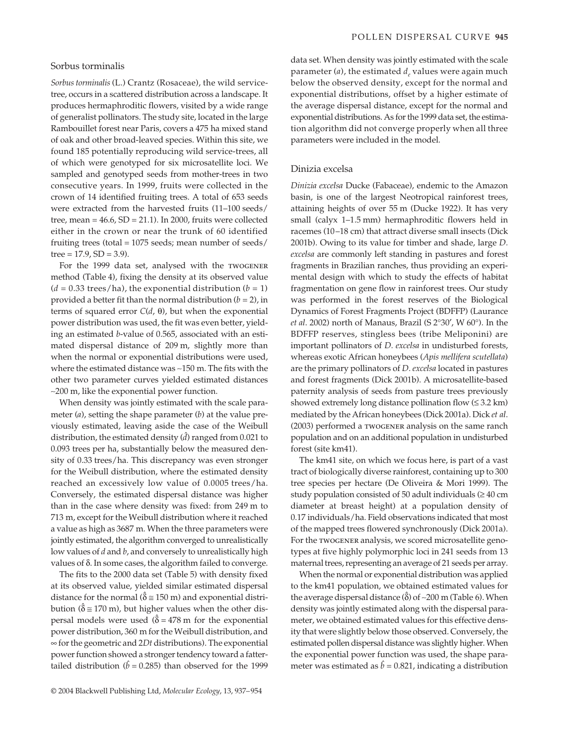# Sorbus torminalis

*Sorbus torminalis*(L.) Crantz (Rosaceae), the wild servicetree, occurs in a scattered distribution across a landscape. It produces hermaphroditic flowers, visited by a wide range of generalist pollinators. The study site, located in the large Rambouillet forest near Paris, covers a 475 ha mixed stand of oak and other broad-leaved species. Within this site, we found 185 potentially reproducing wild service-trees, all of which were genotyped for six microsatellite loci. We sampled and genotyped seeds from mother-trees in two consecutive years. In 1999, fruits were collected in the crown of 14 identified fruiting trees. A total of 653 seeds were extracted from the harvested fruits (11–100 seeds/ tree, mean =  $46.6$ , SD =  $21.1$ ). In 2000, fruits were collected either in the crown or near the trunk of 60 identified fruiting trees (total = 1075 seeds; mean number of seeds/  $tree = 17.9, SD = 3.9$ .

For the 1999 data set, analysed with the TWOGENER method (Table 4), fixing the density at its observed value  $(d = 0.33$  trees/ha), the exponential distribution  $(b = 1)$ provided a better fit than the normal distribution  $(b = 2)$ , in terms of squared error *C*(*d*, θ), but when the exponential power distribution was used, the fit was even better, yielding an estimated *b*-value of 0.565, associated with an estimated dispersal distance of 209 m, slightly more than when the normal or exponential distributions were used, where the estimated distance was ∼150 m. The fits with the other two parameter curves yielded estimated distances ∼200 m, like the exponential power function.

When density was jointly estimated with the scale parameter (*a*), setting the shape parameter (*b*) at the value previously estimated, leaving aside the case of the Weibull distribution, the estimated density (*d*) ranged from 0.021 to 0.093 trees per ha, substantially below the measured density of 0.33 trees/ha. This discrepancy was even stronger for the Weibull distribution, where the estimated density reached an excessively low value of 0.0005 trees/ha. Conversely, the estimated dispersal distance was higher than in the case where density was fixed: from 249 m to 713 m, except for the Weibull distribution where it reached a value as high as 3687 m. When the three parameters were jointly estimated, the algorithm converged to unrealistically low values of *d* and *b*, and conversely to unrealistically high values of δ. In some cases, the algorithm failed to converge.

The fits to the 2000 data set (Table 5) with density fixed at its observed value, yielded similar estimated dispersal distance for the normal ( $\hat{\delta} \approx 150$  m) and exponential distribution ( $\hat{\delta} \approx 170$  m), but higher values when the other dispersal models were used  $(\hat{\delta} = 478 \text{ m}$  for the exponential power distribution, 360 m for the Weibull distribution, and ∞ for the geometric and 2*Dt* distributions). The exponential power function showed a stronger tendency toward a fattertailed distribution ( $\hat{b}$  = 0.285) than observed for the 1999

data set. When density was jointly estimated with the scale parameter (*a*), the estimated *d*<sub>*e*</sub> values were again much below the observed density, except for the normal and exponential distributions, offset by a higher estimate of the average dispersal distance, except for the normal and exponential distributions. As for the 1999 data set, the estimation algorithm did not converge properly when all three parameters were included in the model.

## Dinizia excelsa

*Dinizia excelsa* Ducke (Fabaceae), endemic to the Amazon basin, is one of the largest Neotropical rainforest trees, attaining heights of over 55 m (Ducke 1922). It has very small (calyx 1–1.5 mm) hermaphroditic flowers held in racemes (10–18 cm) that attract diverse small insects (Dick 2001b). Owing to its value for timber and shade, large *D. excelsa* are commonly left standing in pastures and forest fragments in Brazilian ranches, thus providing an experimental design with which to study the effects of habitat fragmentation on gene flow in rainforest trees. Our study was performed in the forest reserves of the Biological Dynamics of Forest Fragments Project (BDFFP) (Laurance *et al*. 2002) north of Manaus, Brazil (S 2°30′, W 60°). In the BDFFP reserves, stingless bees (tribe Meliponini) are important pollinators of *D. excelsa* in undisturbed forests, whereas exotic African honeybees (*Apis mellifera scutellata*) are the primary pollinators of *D. excelsa* located in pastures and forest fragments (Dick 2001b). A microsatellite-based paternity analysis of seeds from pasture trees previously showed extremely long distance pollination flow (≤ 3.2 km) mediated by the African honeybees (Dick 2001a). Dick *et al*. (2003) performed a twogener analysis on the same ranch population and on an additional population in undisturbed forest (site km41).

The km41 site, on which we focus here, is part of a vast tract of biologically diverse rainforest, containing up to 300 tree species per hectare (De Oliveira & Mori 1999). The study population consisted of 50 adult individuals  $(≥ 40$  cm diameter at breast height) at a population density of 0.17 individuals/ha. Field observations indicated that most of the mapped trees flowered synchronously (Dick 2001a). For the TWOGENER analysis, we scored microsatellite genotypes at five highly polymorphic loci in 241 seeds from 13 maternal trees, representing an average of 21 seeds per array.

When the normal or exponential distribution was applied to the km41 population, we obtained estimated values for the average dispersal distance (δ̂) of ~200 m (Table 6). When density was jointly estimated along with the dispersal parameter, we obtained estimated values for this effective density that were slightly below those observed. Conversely, the estimated pollen dispersal distance was slightly higher. When the exponential power function was used, the shape parameter was estimated as  $\hat{b} = 0.821$ , indicating a distribution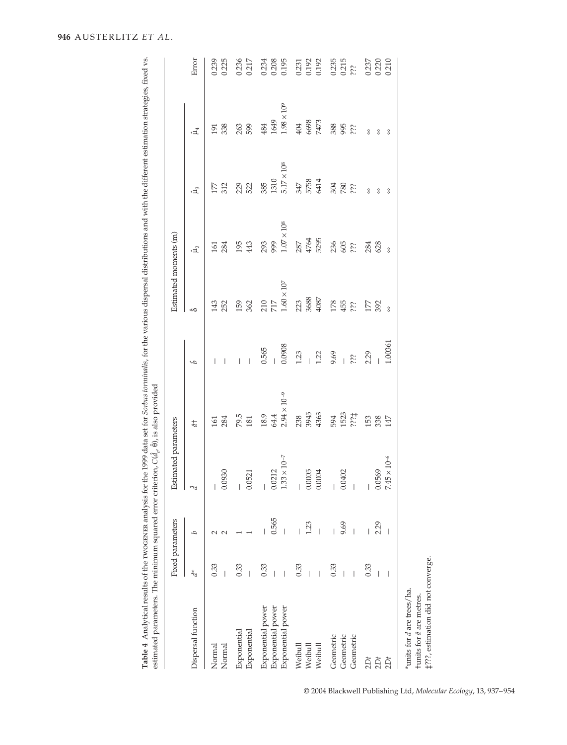| ì<br>i<br>٢<br>٤<br>י<br>ו<br>$\ddot{\phantom{a}}$<br>ł<br>.<br>ب<br>ă<br>ł<br>i<br>֖֖֖֪ׅׅ֪֪֪֪֦֪֪֪֪֪֛֚֚֚֚֚֚֚֚֚֚֚֚֚֚֚֡֝֝֝֝֝֬֝֬֝֬֝֬֝֬֝֓<br>l<br>I<br>۱<br>ا | l<br>i<br>١<br>non,<br>í<br>;<br>;<br>l<br>ׇ֕ |
|-----------------------------------------------------------------------------------------------------------------------------------------------------------|-----------------------------------------------|
| j<br>l<br>j<br>ļ<br>l<br>ì<br>l<br>E                                                                                                                      | ١<br>$\frac{1}{2}$<br>į                       |

|                                                                                                      |                                             | Fixed parameters | Estimated parameters                                                        |                                           |                                                                                                | Estimated moments (m)            |                                |                                     |                                     |                             |
|------------------------------------------------------------------------------------------------------|---------------------------------------------|------------------|-----------------------------------------------------------------------------|-------------------------------------------|------------------------------------------------------------------------------------------------|----------------------------------|--------------------------------|-------------------------------------|-------------------------------------|-----------------------------|
| Dispersal function                                                                                   | $\vec{p}$                                   | d                | d                                                                           | À                                         | Ç                                                                                              | ŝ                                | $\hat{L}$                      | م)<br>م                             | $\hat{\mathfrak{u}}_4$              | Error                       |
| Normal<br>Normal                                                                                     | 0.33                                        |                  | 0.0930<br>I                                                                 | 284<br>161                                |                                                                                                | 252<br>143                       | 284<br>161                     | 312<br>E                            | 338<br>191                          | 0.225<br>0.239              |
| Exponential<br>Exponential                                                                           | 0.33<br>$\overline{\phantom{a}}$            |                  | 0.0521<br>$\begin{array}{c} \end{array}$                                    | $79.5$ $181$                              | $\overline{\phantom{a}}$<br>$\begin{array}{c} \begin{array}{c} \hline \end{array} \end{array}$ | 362<br>159                       | 195<br>443                     | 522<br>229                          | <b>263</b><br>599                   | 0.236<br>0.217              |
| Exponential power<br>Exponential power<br>Exponential power                                          | 0.33<br>$\overline{\phantom{a}}$            | 0.565            | $1.33 \times 10^{-7}$<br>0.0212<br>I                                        | $2.94 \times 10^{-9}$<br>$18.9\,$<br>64.4 | 0.0908<br>0.565                                                                                | $1.60 \times 10^7$<br>210<br>717 | $1.07\times10^8$<br>293<br>999 | $5.17 \times 10^{8}$<br>1310<br>385 | $1.98 \times 10^{9}$<br>1649<br>484 | $0.234$<br>$0.208$<br>0.195 |
| Weibull<br>Weibull<br>Weibull                                                                        | 0.33<br>$\overline{1}$                      | 1.23             | $0.0005$<br>$0.0004$<br>I                                                   | 238<br>3945<br>4363                       | $\frac{1.23}{1.22}$                                                                            | 223<br>3688<br>4087              | 5295<br>4764<br>287            | 347<br>5758<br>6414                 | $404$<br>6698<br>7473               | 0.231<br>0.192<br>0.192     |
| Geometric<br>Geometric<br>Geometric                                                                  | 0.33<br>$\overline{\phantom{a}}$            | 9.69             | 0.0402<br>$\begin{array}{c} \hline \end{array}$<br>$\overline{\phantom{a}}$ | 594<br>1523<br>1523                       | 9.69<br>ii<br>$\overline{1}$                                                                   | 178<br>455<br>čζ.                | 236<br>25.59                   | 304<br>780<br>$\ddot{ii}$           | 388<br>995<br>čζ.                   | $\frac{0.235}{0.215}$       |
| 2Dt<br>2Dt<br>2Dt                                                                                    | 0.33<br>$\begin{array}{c} \end{array}$<br>I | 2.29             | $7.45\times10^{-6}$<br>0.0569<br>$\overline{\phantom{a}}$                   | 153<br>338<br>147                         | 1.00361<br>2.29                                                                                | 392<br>177<br>8                  | 628<br>284<br>8                | 8<br>8<br>8                         | 8<br>8<br>8                         | 0.237<br>0.220<br>0.210     |
| ‡???, estimation did not converge.<br>*units for d are trees/ha.<br>tunits for $\hat{a}$ are metres. |                                             |                  |                                                                             |                                           |                                                                                                |                                  |                                |                                     |                                     |                             |

© 2004 Blackwell Publishing Ltd, *Molecular Ecology*, 13, 937–954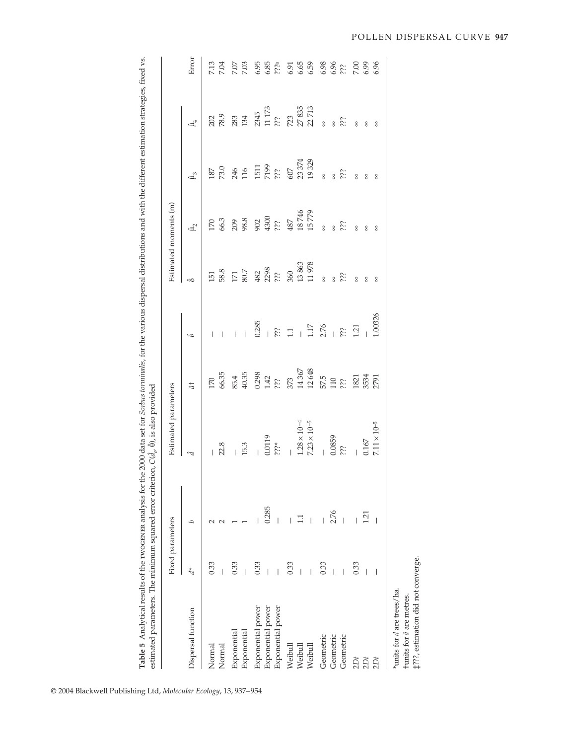|                    |       | Fixed parameters | Estimated parameters                                                      |                 |         |                | Estimated moments (m) |                  |           |              |
|--------------------|-------|------------------|---------------------------------------------------------------------------|-----------------|---------|----------------|-----------------------|------------------|-----------|--------------|
| Dispersal function | $d^*$ | d                | þ                                                                         | $\hat{a}$ +     | G       | $\infty$       | $\hat{L}$             | Ĝ,               | $\hat{L}$ | Error        |
| Normal             | 0.33  | $\sim$           |                                                                           | 170             |         | 151            | 170                   | 187              | 202       | 7.13         |
| Normal             |       |                  | 22.8                                                                      | 66.35           |         | 58.8           | 66.3                  | 73.0             | 78.9      | 7.04         |
| Exponential        | 0.33  |                  |                                                                           | 85.4            |         | 171            | 209                   | 246              | 283       | 7.07         |
| Exponential        |       |                  | 15.3                                                                      | 40.35           |         | 80.7           | 98.8                  | 116              | 134       | 7.03         |
| Exponential power  | 0.33  |                  |                                                                           |                 | 0.285   | 482            | 902                   | 1511             | 2345      | 6.95         |
| Exponential power  |       | 0.285            | 0.0119                                                                    | $0.298$<br>1.42 |         | 2298           | 4300                  | 7199             | 11173     | 6.85         |
| Exponential power  |       |                  | *ذذ:                                                                      | ίċ.             | ذذ:     | ίċ.            | ذذ:                   | ίċ.              | ii        | ščć.         |
| Weibull            | 0.33  |                  |                                                                           | 373             | $\Box$  | 360            | 487                   | 607              | 723       | 6.91         |
| Weibull            |       | $\Xi$            |                                                                           |                 |         |                |                       |                  |           |              |
| Weibull            |       |                  | $\begin{array}{l} 1.28 \times 10^{-4} \\ 7.23 \times 10^{-5} \end{array}$ | 14367<br>12648  | 1.17    | 13863<br>11978 | 18746<br>15779        | 23 374<br>19 329 | 27835     | 6.65<br>6.59 |
| Geometric          | 0.33  |                  |                                                                           | 57.5            | 2.76    | 8              | 8                     | 8                | 8         | 6.98         |
| Geometric          |       | 2.76             | 0.0859                                                                    | 110             |         | 8              | 8                     | 8                | 8         | 6.96         |
| Geometric          |       |                  | čć.                                                                       | iii             | čώ      | ذذ:            | čζ.                   | ذذ:              | iίż.      | čζ.          |
| 2Dt                | 0.33  |                  |                                                                           | 1821            | 1.21    | 8              | 8                     | 8                | 8         | 7.00         |
| 2Dt                |       | 1.21             | 0.167                                                                     | 3534            |         | 8              | 8                     | 8                | 8         | 6.99         |
| $\overline{2}Dt$   |       |                  | $7.11\times10^{-5}$                                                       | 2791            | 1.00326 | 8              | 8                     | 8                | 8         | 6.96         |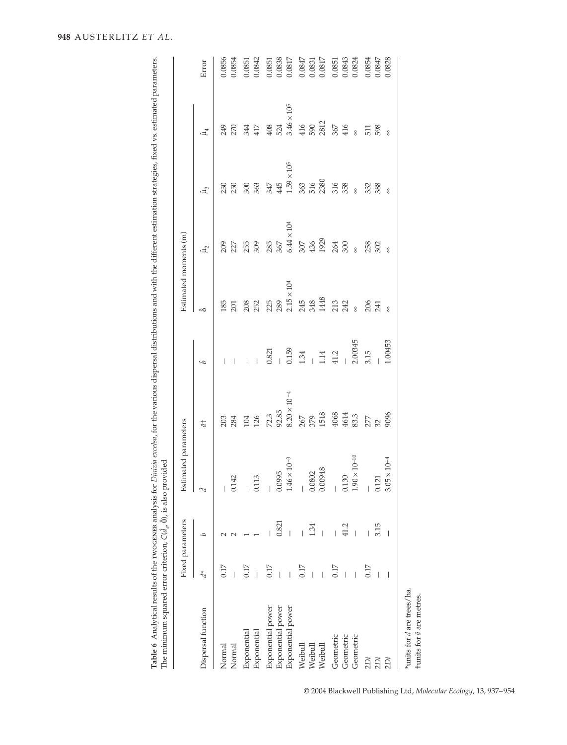Table 6 Analytical results of the TWOGENER analysis for *Dintzia excelsa,* for the various dispersal distributions and with the different estimation strategies, fixed vs. estimated parameters.<br>The minimum squared error cri **Table 6** Analytical results of the twogener analysis for *Dinizia excelsa*, for the various dispersal distributions and with the different estimation strategies, fixed vs. estimated parameters. *C*(*de*, *o*), is also provided The minimum squared error criterion,

|                    |                          | Fixed parameters         | Estimated parameters     |                                           |                                                                        | Estimated moments (m)                                                                                                                                                                                                                                                                                                             |                    |                    |                                       |                                                                                                                                                                                                |
|--------------------|--------------------------|--------------------------|--------------------------|-------------------------------------------|------------------------------------------------------------------------|-----------------------------------------------------------------------------------------------------------------------------------------------------------------------------------------------------------------------------------------------------------------------------------------------------------------------------------|--------------------|--------------------|---------------------------------------|------------------------------------------------------------------------------------------------------------------------------------------------------------------------------------------------|
| Dispersal function |                          |                          |                          | âН                                        |                                                                        | œ                                                                                                                                                                                                                                                                                                                                 | Ą,                 | Ĝ,                 |                                       | Error                                                                                                                                                                                          |
| Normal             | 0.17                     |                          |                          |                                           |                                                                        | 185                                                                                                                                                                                                                                                                                                                               |                    | 230                | 249                                   |                                                                                                                                                                                                |
| Normal             |                          |                          | 0.142                    | 203<br>284                                |                                                                        | 201                                                                                                                                                                                                                                                                                                                               | 209                | 250                | 270                                   | 0.0856<br>0.0854                                                                                                                                                                               |
| Exponential        | 0.17                     |                          | $\bar{1}$                | 104                                       | $\overline{1}$                                                         |                                                                                                                                                                                                                                                                                                                                   |                    |                    |                                       |                                                                                                                                                                                                |
| Exponential        |                          |                          | 13<br>0.1                | 126                                       |                                                                        | <b>208</b><br>252                                                                                                                                                                                                                                                                                                                 | 255<br>309         | 300<br>363         | 344<br>417                            | $\begin{array}{r} 0.0851 \\ 0.0842 \\ 0.0853 \\ 0.0838 \\ 0.0838 \\ 0.0847 \\ 0.0817 \\ 0.0837 \\ 0.0837 \\ 0.0831 \\ 0.0851 \\ 0.0851 \\ 0.0843 \\ 0.0843 \\ 0.0824 \\ 0.0824 \\ \end{array}$ |
| Exponential power  | 0.17                     |                          | $\overline{\phantom{a}}$ |                                           | 0.821                                                                  |                                                                                                                                                                                                                                                                                                                                   | 285<br>367         |                    | 408                                   |                                                                                                                                                                                                |
| Exponential power  | $\overline{1}$           | 0.821                    | 0.0995                   | $72.3$<br>92.85                           |                                                                        |                                                                                                                                                                                                                                                                                                                                   |                    | 345                | 524                                   |                                                                                                                                                                                                |
| Exponential power  | $\overline{1}$           | $\overline{\phantom{a}}$ | $1.46\times10^{-3}$      | $8.20 \times 10^{-4}$                     | $\begin{array}{c} - & 159 \\ 0.159 \\ 1.34 \\ - & 1.14 \\ \end{array}$ | $\begin{array}{l} 225 \\ 289 \\ 215 \times 10^4 \\ 215 \times 19 \\ 243 \\ 236 \\ 242 \\ 242 \\ 242 \\ 242 \\ 243 \\ 244 \\ 242 \\ 243 \\ 244 \\ 243 \\ 244 \\ 245 \\ 245 \\ 246 \\ 247 \\ 248 \\ 249 \\ 249 \\ 241 \\ 242 \\ 243 \\ 244 \\ 245 \\ 245 \\ 246 \\ 247 \\ 248 \\ 249 \\ 249 \\ 240 \\ 241 \\ 242 \\ 243 \\ 244 \\ $ | $6.44\times10^4$   | $1.59\times10^{5}$ | $3.46 \times 10^{5}$                  |                                                                                                                                                                                                |
| Weibull            | 0.17                     | $\mathbf{L}$             | $\overline{1}$           |                                           |                                                                        |                                                                                                                                                                                                                                                                                                                                   |                    |                    |                                       |                                                                                                                                                                                                |
| Weibull            | $\overline{1}$           | 1.34                     |                          |                                           |                                                                        |                                                                                                                                                                                                                                                                                                                                   |                    |                    |                                       |                                                                                                                                                                                                |
| Weibull            | $\overline{\phantom{a}}$ | $\overline{1}$           | $0.0802$<br>$0.00948$    | 267<br>379<br>4068<br>4631<br>377<br>9096 |                                                                        |                                                                                                                                                                                                                                                                                                                                   | 307<br>436<br>1929 | 363<br>516<br>2380 | $\frac{416}{590}$<br>$\frac{2812}{ }$ |                                                                                                                                                                                                |
| Geometric          | 0.17                     | $\overline{1}$           | $\overline{\phantom{a}}$ |                                           |                                                                        |                                                                                                                                                                                                                                                                                                                                   |                    | 316                | $367$<br>416                          |                                                                                                                                                                                                |
| Geometric          | $\overline{1}$           | 41.2                     | 0.130                    |                                           |                                                                        |                                                                                                                                                                                                                                                                                                                                   | 264<br>300         |                    |                                       |                                                                                                                                                                                                |
| Geometric          |                          | $\overline{1}$           | $1.90\times10^{-10}$     |                                           | 2.00345                                                                | $\overline{\mathcal{S}}$                                                                                                                                                                                                                                                                                                          | 8                  | 8                  | $\overline{8}$                        |                                                                                                                                                                                                |
| 2Dt                | 0.17                     | I                        | $\overline{\phantom{a}}$ |                                           | 3.15                                                                   |                                                                                                                                                                                                                                                                                                                                   | 258                |                    |                                       | $0.0854$<br>0.0847                                                                                                                                                                             |
|                    |                          | 3.15                     | 0.121                    |                                           |                                                                        | 206<br>241                                                                                                                                                                                                                                                                                                                        | 302                | 332                | 598                                   |                                                                                                                                                                                                |
| $\overline{2}Dt$   |                          |                          | $3.05 \times 10^{-4}$    |                                           | 1.00453                                                                | 8                                                                                                                                                                                                                                                                                                                                 | 8                  |                    | 8                                     | 0.0828                                                                                                                                                                                         |
|                    |                          |                          |                          |                                           |                                                                        |                                                                                                                                                                                                                                                                                                                                   |                    |                    |                                       |                                                                                                                                                                                                |

\*units for d are trees/ha. \*units for *d* are trees/ha. tunits for  $\hat{a}$  are metres. †units for å are metres.

© 2004 Blackwell Publishing Ltd, *Molecular Ecology*, 13, 937–954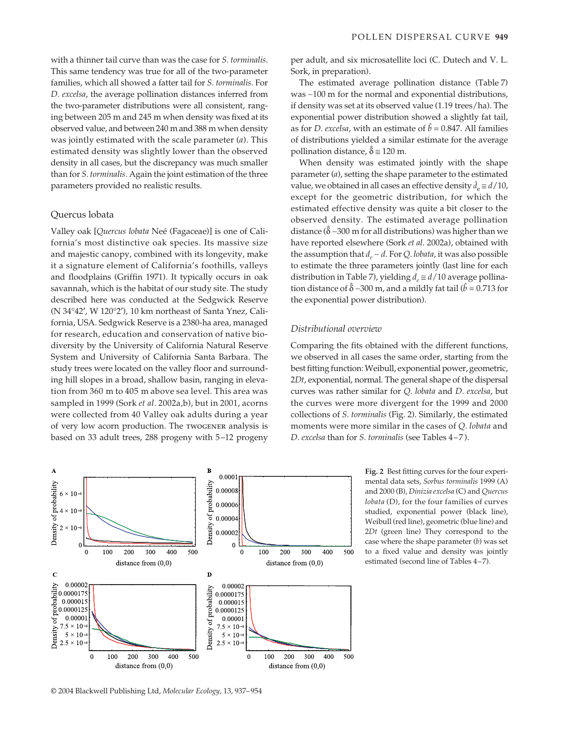with a thinner tail curve than was the case for *S. torminalis*. This same tendency was true for all of the two-parameter families, which all showed a fatter tail for *S. torminalis*. For *D. excelsa*, the average pollination distances inferred from the two-parameter distributions were all consistent, ranging between 205 m and 245 m when density was fixed at its observed value, and between 240 m and 388 m when density was jointly estimated with the scale parameter (*a*). This estimated density was slightly lower than the observed density in all cases, but the discrepancy was much smaller than for *S. torminalis*. Again the joint estimation of the three parameters provided no realistic results.

## Quercus lobata

Valley oak [*Quercus lobata* Neé (Fagaceae)] is one of California's most distinctive oak species. Its massive size and majestic canopy, combined with its longevity, make it a signature element of California's foothills, valleys and floodplains (Griffin 1971). It typically occurs in oak savannah, which is the habitat of our study site. The study described here was conducted at the Sedgwick Reserve (N 34°42′, W 120°2′), 10 km northeast of Santa Ynez, California, USA. Sedgwick Reserve is a 2380-ha area, managed for research, education and conservation of native biodiversity by the University of California Natural Reserve System and University of California Santa Barbara. The study trees were located on the valley floor and surrounding hill slopes in a broad, shallow basin, ranging in elevation from 360 m to 405 m above sea level. This area was sampled in 1999 (Sork *et al*. 2002a,b), but in 2001, acorns were collected from 40 Valley oak adults during a year of very low acorn production. The twogener analysis is based on 33 adult trees, 288 progeny with 5–12 progeny per adult, and six microsatellite loci (C. Dutech and V. L. Sork, in preparation).

The estimated average pollination distance (Table 7) was ∼100 m for the normal and exponential distributions, if density was set at its observed value (1.19 trees/ha). The exponential power distribution showed a slightly fat tail, as for *D. excelsa*, with an estimate of  $\hat{b} = 0.847$ . All families of distributions yielded a similar estimate for the average pollination distance,  $\hat{\delta} \approx 120$  m.

When density was estimated jointly with the shape parameter (*a*), setting the shape parameter to the estimated value, we obtained in all cases an effective density  $\hat{d}_{0} \equiv d/10$ , except for the geometric distribution, for which the estimated effective density was quite a bit closer to the observed density. The estimated average pollination distance ( $\hat{\delta}$  ~300 m for all distributions) was higher than we have reported elsewhere (Sork *et al*. 2002a), obtained with the assumption that  $d_e \sim d$ . For *Q. lobata*, it was also possible to estimate the three parameters jointly (last line for each distribution in Table 7), yielding  $d_e \approx d/10$  average pollination distance of  $\hat{\delta}$  ~300 m, and a mildly fat tail ( $\hat{b}$  = 0.713 for the exponential power distribution).

# *Distributional overview*

Comparing the fits obtained with the different functions, we observed in all cases the same order, starting from the best fitting function: Weibull, exponential power, geometric, 2*Dt*, exponential, normal. The general shape of the dispersal curves was rather similar for *Q. lobata* and *D. excelsa*, but the curves were more divergent for the 1999 and 2000 collections of *S. torminalis* (Fig. 2). Similarly, the estimated moments were more similar in the cases of *Q. lobata* and *D. excelsa* than for *S. torminalis* (see Tables 4–7 ).



**Fig. 2** Best fitting curves for the four experimental data sets, *Sorbus torminalis* 1999 (A) and 2000 (B), *Dinizia excelsa* (C) and *Quercus lobata* (D), for the four families of curves studied, exponential power (black line), Weibull (red line), geometric (blue line) and 2*Dt* (green line) They correspond to the case where the shape parameter (*b*) was set to a fixed value and density was jointly estimated (second line of Tables 4–7).

© 2004 Blackwell Publishing Ltd, *Molecular Ecology*, 13, 937–954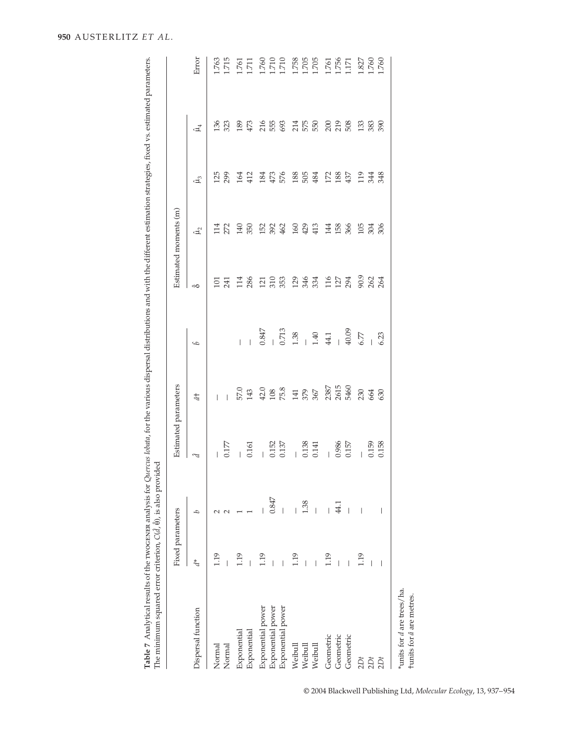|                                                                |                | Fixed parameters |                                                                           | Estimated parameters     |                                                                                                        |                    | Estimated moments (m)                    |                          |                        |                                                                                                                                                                                                                                                                                                     |
|----------------------------------------------------------------|----------------|------------------|---------------------------------------------------------------------------|--------------------------|--------------------------------------------------------------------------------------------------------|--------------------|------------------------------------------|--------------------------|------------------------|-----------------------------------------------------------------------------------------------------------------------------------------------------------------------------------------------------------------------------------------------------------------------------------------------------|
| Dispersal function                                             | đ              | d                | J                                                                         | $\hat{a}$                | Ç                                                                                                      | $\infty$           | Ą,                                       | ĥ,                       | $\hat{\mathfrak{a}}_4$ | Error                                                                                                                                                                                                                                                                                               |
| Normal                                                         | 1.19           |                  | $\frac{1}{0.177}$                                                         | $\overline{1}$           |                                                                                                        | $\Xi$              | 114                                      | 125                      | 136                    | 1.763<br>1.715                                                                                                                                                                                                                                                                                      |
| Normal                                                         |                |                  |                                                                           | $\overline{\phantom{a}}$ |                                                                                                        | 241                | 272                                      | 299                      | 323                    |                                                                                                                                                                                                                                                                                                     |
| Exponential                                                    | 01             |                  |                                                                           |                          |                                                                                                        | 114<br>286         | 140                                      |                          | 189                    |                                                                                                                                                                                                                                                                                                     |
| Exponential                                                    |                |                  |                                                                           |                          |                                                                                                        |                    | 350                                      |                          | 473                    |                                                                                                                                                                                                                                                                                                     |
| Exponential power                                              | 01.19          |                  | $-$ 0.161<br>$-$ 0.152<br>0.137                                           |                          | $\begin{array}{c} - \\ 0.847 \end{array}$                                                              | 121                | 152                                      | 164<br>412<br>184        |                        |                                                                                                                                                                                                                                                                                                     |
| Exponential power                                              | $\overline{1}$ | 0.847            |                                                                           |                          |                                                                                                        |                    |                                          |                          |                        |                                                                                                                                                                                                                                                                                                     |
| Exponential power                                              | $\overline{1}$ |                  |                                                                           |                          | $\begin{array}{r} -1.713 \\ 0.713 \\ 1.38 \\ -1.41 \\ 4.1 \\ \hline 4.09 \\ -6.77 \\ 6.23 \end{array}$ | 353                | 392<br>462                               | $473\atop 576$           | <b>ABS ABS 2008</b>    | $\begin{array}{l} 1.761 \\ 1.711 \\ 1.710 \\ 1.711 \\ 1.711 \\ 1.788 \\ 1.789 \\ 1.795 \\ 1.795 \\ 1.795 \\ 1.795 \\ 1.795 \\ 1.796 \\ 1.790 \\ 1.760 \\ 1.760 \\ 1.760 \\ 1.760 \\ 1.760 \\ 1.760 \\ 1.760 \\ 1.760 \\ 1.760 \\ 1.760 \\ 1.760 \\ 1.760 \\ 1.760 \\ 1.760 \\ 1.760 \\ 1.760 \\ 1.$ |
| Weibull                                                        | 1.19           |                  |                                                                           |                          |                                                                                                        | 2346               | 160                                      | <b>186</b><br>505<br>484 |                        |                                                                                                                                                                                                                                                                                                     |
| Weibull                                                        |                | 1.38             |                                                                           |                          |                                                                                                        |                    | $\begin{array}{c} 43 \\ 413 \end{array}$ |                          |                        |                                                                                                                                                                                                                                                                                                     |
| Weibull                                                        |                | $\overline{1}$   | $\begin{array}{r} - \\ 0.138 \\ 0.141 \\ - \\ 0.986 \\ 0.157 \end{array}$ |                          |                                                                                                        |                    |                                          |                          |                        |                                                                                                                                                                                                                                                                                                     |
| Geometric                                                      | 1.19           |                  |                                                                           |                          |                                                                                                        | 116<br>127<br>294  | 144                                      | 172                      |                        |                                                                                                                                                                                                                                                                                                     |
| Geometric                                                      | $\overline{1}$ | 44.1             |                                                                           |                          |                                                                                                        |                    | 158<br>366                               | 188<br>437               |                        |                                                                                                                                                                                                                                                                                                     |
| Geometric                                                      |                |                  |                                                                           |                          |                                                                                                        |                    |                                          |                          |                        |                                                                                                                                                                                                                                                                                                     |
| 2Dt                                                            | 1.19           |                  |                                                                           | 230<br>664               |                                                                                                        | 90.9<br>262<br>264 |                                          | 119                      |                        |                                                                                                                                                                                                                                                                                                     |
| 2Dt                                                            |                |                  | $-0.159$<br>$0.158$                                                       |                          |                                                                                                        |                    | 19788                                    | $\frac{44}{38}$          | 32 32 33               |                                                                                                                                                                                                                                                                                                     |
| 2Dt                                                            | I              |                  |                                                                           |                          |                                                                                                        |                    |                                          |                          |                        |                                                                                                                                                                                                                                                                                                     |
| *units for d are trees/ha.<br>tunits for $\hat{a}$ are metres. |                |                  |                                                                           |                          |                                                                                                        |                    |                                          |                          |                        |                                                                                                                                                                                                                                                                                                     |

© 2004 Blackwell Publishing Ltd, *Molecular Ecology*, 13, 937–954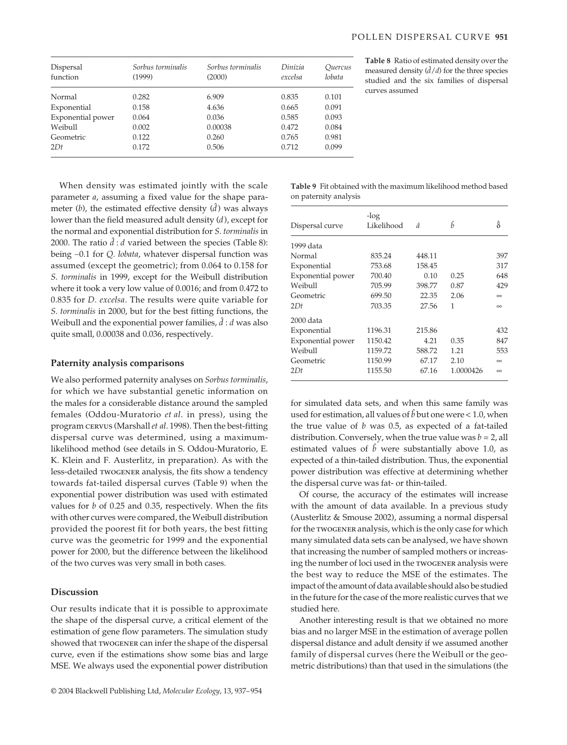| Dispersal<br>function | Sorbus torminalis<br>(1999) | Sorbus torminalis<br>(2000) | Dinizia<br>excelsa | <i>Ouercus</i><br>lobata |
|-----------------------|-----------------------------|-----------------------------|--------------------|--------------------------|
| Normal                | 0.282                       | 6.909                       | 0.835              | 0.101                    |
| Exponential           | 0.158                       | 4.636                       | 0.665              | 0.091                    |
| Exponential power     | 0.064                       | 0.036                       | 0.585              | 0.093                    |
| Weibull               | 0.002                       | 0.00038                     | 0.472              | 0.084                    |
| Geometric             | 0.122                       | 0.260                       | 0.765              | 0.981                    |
| 2Dt                   | 0.172                       | 0.506                       | 0.712              | 0.099                    |

**Table 8** Ratio of estimated density over the measured density  $(\frac{\partial}{\partial t})$  for the three species studied and the six families of dispersal curves assumed

When density was estimated jointly with the scale parameter *a*, assuming a fixed value for the shape parameter (*b*), the estimated effective density ( $\hat{d}$ ) was always lower than the field measured adult density (*d*), except for the normal and exponential distribution for *S. torminalis* in 2000. The ratio  $\hat{d}$  : *d* varied between the species (Table 8): being ∼0.1 for *Q. lobata*, whatever dispersal function was assumed (except the geometric); from 0.064 to 0.158 for *S. torminalis* in 1999, except for the Weibull distribution where it took a very low value of 0.0016; and from 0.472 to 0.835 for *D. excelsa*. The results were quite variable for *S. torminalis* in 2000, but for the best fitting functions, the Weibull and the exponential power families,  $\hat{d}$  : *d* was also quite small, 0.00038 and 0.036, respectively.

## **Paternity analysis comparisons**

We also performed paternity analyses on *Sorbus torminalis*, for which we have substantial genetic information on the males for a considerable distance around the sampled females (Oddou-Muratorio *et al*. in press), using the program cervus (Marshall *et al*. 1998). Then the best-fitting dispersal curve was determined, using a maximumlikelihood method (see details in S. Oddou-Muratorio, E. K. Klein and F. Austerlitz, in preparation). As with the less-detailed twogener analysis, the fits show a tendency towards fat-tailed dispersal curves (Table 9) when the exponential power distribution was used with estimated values for *b* of 0.25 and 0.35, respectively. When the fits with other curves were compared, the Weibull distribution provided the poorest fit for both years, the best fitting curve was the geometric for 1999 and the exponential power for 2000, but the difference between the likelihood of the two curves was very small in both cases.

# **Discussion**

Our results indicate that it is possible to approximate the shape of the dispersal curve, a critical element of the estimation of gene flow parameters. The simulation study showed that TWOGENER can infer the shape of the dispersal curve, even if the estimations show some bias and large MSE. We always used the exponential power distribution **Table 9** Fit obtained with the maximum likelihood method based on paternity analysis

| Dispersal curve          | $-log$<br>Likelihood | â      | ĥ         | Ŝ        |
|--------------------------|----------------------|--------|-----------|----------|
| 1999 data                |                      |        |           |          |
| Normal                   | 835.24               | 448.11 |           | 397      |
| Exponential              | 753.68               | 158.45 |           | 317      |
| <b>Exponential power</b> | 700.40               | 0.10   | 0.25      | 648      |
| Weibull                  | 705.99               | 398.77 | 0.87      | 429      |
| Geometric                | 699.50               | 22.35  | 2.06      | $\infty$ |
| 2Dt                      | 703.35               | 27.56  | 1         | $\infty$ |
| 2000 data                |                      |        |           |          |
| Exponential              | 1196.31              | 215.86 |           | 432      |
| <b>Exponential power</b> | 1150.42              | 4.21   | 0.35      | 847      |
| Weibull                  | 1159.72              | 588.72 | 1.21      | 553      |
| Geometric                | 1150.99              | 67.17  | 2.10      | $\infty$ |
| 2Dt                      | 1155.50              | 67.16  | 1.0000426 | $\infty$ |

for simulated data sets, and when this same family was used for estimation, all values of  $\hat{b}$  but one were < 1.0, when the true value of *b* was 0.5, as expected of a fat-tailed distribution. Conversely, when the true value was  $b = 2$ , all estimated values of  $\hat{b}$  were substantially above 1.0, as expected of a thin-tailed distribution. Thus, the exponential power distribution was effective at determining whether the dispersal curve was fat- or thin-tailed.

Of course, the accuracy of the estimates will increase with the amount of data available. In a previous study (Austerlitz & Smouse 2002), assuming a normal dispersal for the twogener analysis, which is the only case for which many simulated data sets can be analysed, we have shown that increasing the number of sampled mothers or increasing the number of loci used in the twogener analysis were the best way to reduce the MSE of the estimates. The impact of the amount of data available should also be studied in the future for the case of the more realistic curves that we studied here.

Another interesting result is that we obtained no more bias and no larger MSE in the estimation of average pollen dispersal distance and adult density if we assumed another family of dispersal curves (here the Weibull or the geometric distributions) than that used in the simulations (the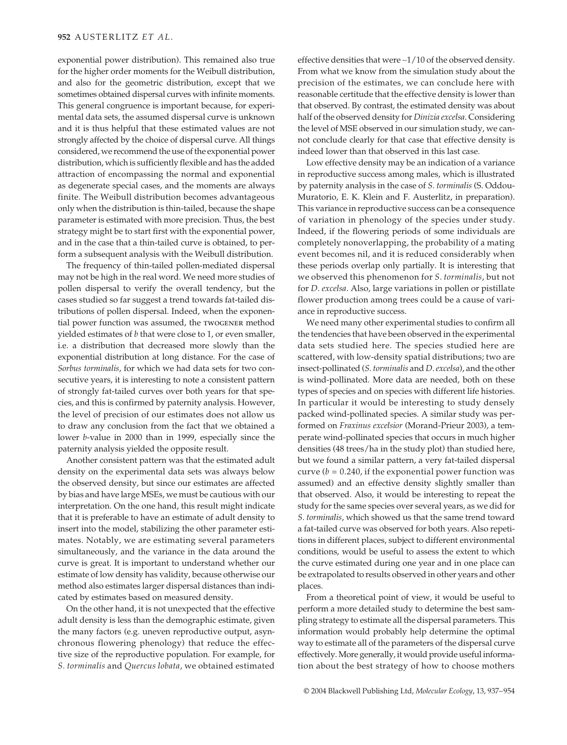exponential power distribution). This remained also true for the higher order moments for the Weibull distribution, and also for the geometric distribution, except that we sometimes obtained dispersal curves with infinite moments. This general congruence is important because, for experimental data sets, the assumed dispersal curve is unknown and it is thus helpful that these estimated values are not strongly affected by the choice of dispersal curve. All things considered, we recommend the use of the exponential power distribution, which is sufficiently flexible and has the added attraction of encompassing the normal and exponential as degenerate special cases, and the moments are always finite. The Weibull distribution becomes advantageous only when the distribution is thin-tailed, because the shape parameter is estimated with more precision. Thus, the best strategy might be to start first with the exponential power, and in the case that a thin-tailed curve is obtained, to perform a subsequent analysis with the Weibull distribution.

The frequency of thin-tailed pollen-mediated dispersal may not be high in the real word. We need more studies of pollen dispersal to verify the overall tendency, but the cases studied so far suggest a trend towards fat-tailed distributions of pollen dispersal. Indeed, when the exponential power function was assumed, the TWOGENER method yielded estimates of *b* that were close to 1, or even smaller, i.e. a distribution that decreased more slowly than the exponential distribution at long distance. For the case of *Sorbus torminalis*, for which we had data sets for two consecutive years, it is interesting to note a consistent pattern of strongly fat-tailed curves over both years for that species, and this is confirmed by paternity analysis. However, the level of precision of our estimates does not allow us to draw any conclusion from the fact that we obtained a lower *b*-value in 2000 than in 1999, especially since the paternity analysis yielded the opposite result.

Another consistent pattern was that the estimated adult density on the experimental data sets was always below the observed density, but since our estimates are affected by bias and have large MSEs, we must be cautious with our interpretation. On the one hand, this result might indicate that it is preferable to have an estimate of adult density to insert into the model, stabilizing the other parameter estimates. Notably, we are estimating several parameters simultaneously, and the variance in the data around the curve is great. It is important to understand whether our estimate of low density has validity, because otherwise our method also estimates larger dispersal distances than indicated by estimates based on measured density.

On the other hand, it is not unexpected that the effective adult density is less than the demographic estimate, given the many factors (e.g. uneven reproductive output, asynchronous flowering phenology) that reduce the effective size of the reproductive population. For example, for *S. torminalis* and *Quercus lobata*, we obtained estimated effective densities that were ∼1/10 of the observed density. From what we know from the simulation study about the precision of the estimates, we can conclude here with reasonable certitude that the effective density is lower than that observed. By contrast, the estimated density was about half of the observed density for *Dinizia excelsa*. Considering the level of MSE observed in our simulation study, we cannot conclude clearly for that case that effective density is indeed lower than that observed in this last case.

Low effective density may be an indication of a variance in reproductive success among males, which is illustrated by paternity analysis in the case of *S. torminalis* (S. Oddou-Muratorio, E. K. Klein and F. Austerlitz, in preparation). This variance in reproductive success can be a consequence of variation in phenology of the species under study. Indeed, if the flowering periods of some individuals are completely nonoverlapping, the probability of a mating event becomes nil, and it is reduced considerably when these periods overlap only partially. It is interesting that we observed this phenomenon for *S. torminalis*, but not for *D. excelsa*. Also, large variations in pollen or pistillate flower production among trees could be a cause of variance in reproductive success.

We need many other experimental studies to confirm all the tendencies that have been observed in the experimental data sets studied here. The species studied here are scattered, with low-density spatial distributions; two are insect-pollinated (*S. torminalis* and *D. excelsa*), and the other is wind-pollinated. More data are needed, both on these types of species and on species with different life histories. In particular it would be interesting to study densely packed wind-pollinated species. A similar study was performed on *Fraxinus excelsior* (Morand-Prieur 2003), a temperate wind-pollinated species that occurs in much higher densities (48 trees/ha in the study plot) than studied here, but we found a similar pattern, a very fat-tailed dispersal curve ( $b = 0.240$ , if the exponential power function was assumed) and an effective density slightly smaller than that observed. Also, it would be interesting to repeat the study for the same species over several years, as we did for *S. torminalis*, which showed us that the same trend toward a fat-tailed curve was observed for both years. Also repetitions in different places, subject to different environmental conditions, would be useful to assess the extent to which the curve estimated during one year and in one place can be extrapolated to results observed in other years and other places.

From a theoretical point of view, it would be useful to perform a more detailed study to determine the best sampling strategy to estimate all the dispersal parameters. This information would probably help determine the optimal way to estimate all of the parameters of the dispersal curve effectively. More generally, it would provide useful information about the best strategy of how to choose mothers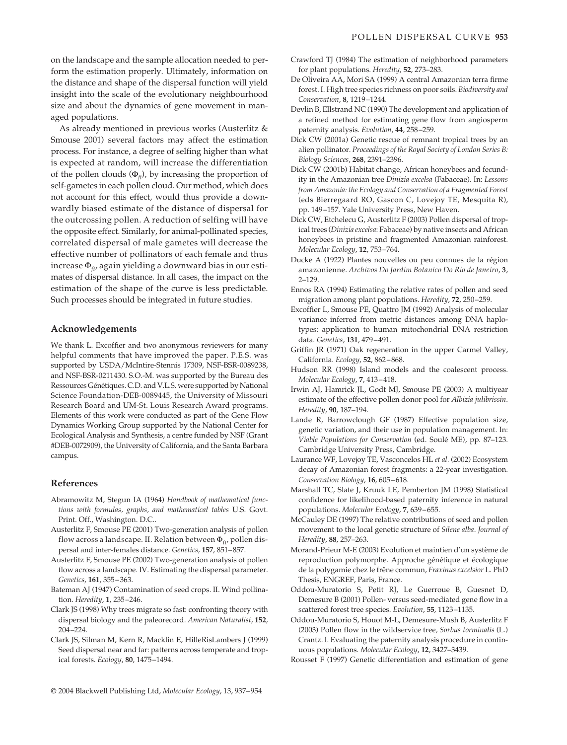on the landscape and the sample allocation needed to perform the estimation properly. Ultimately, information on the distance and shape of the dispersal function will yield insight into the scale of the evolutionary neighbourhood size and about the dynamics of gene movement in managed populations.

As already mentioned in previous works (Austerlitz & Smouse 2001) several factors may affect the estimation process. For instance, a degree of selfing higher than what is expected at random, will increase the differentiation of the pollen clouds  $(\Phi_{\theta})$ , by increasing the proportion of self-gametes in each pollen cloud. Our method, which does not account for this effect, would thus provide a downwardly biased estimate of the distance of dispersal for the outcrossing pollen. A reduction of selfing will have the opposite effect. Similarly, for animal-pollinated species, correlated dispersal of male gametes will decrease the effective number of pollinators of each female and thus increase Φ*ft*, again yielding a downward bias in our estimates of dispersal distance. In all cases, the impact on the estimation of the shape of the curve is less predictable. Such processes should be integrated in future studies.

#### **Acknowledgements**

We thank L. Excoffier and two anonymous reviewers for many helpful comments that have improved the paper. P.E.S. was supported by USDA/McIntire-Stennis 17309, NSF-BSR-0089238, and NSF-BSR-0211430. S.O.-M. was supported by the Bureau des Ressources Génétiques. C.D. and V.L.S. were supported by National Science Foundation-DEB-0089445, the University of Missouri Research Board and UM-St. Louis Research Award programs. Elements of this work were conducted as part of the Gene Flow Dynamics Working Group supported by the National Center for Ecological Analysis and Synthesis, a centre funded by NSF (Grant #DEB-0072909), the University of California, and the Santa Barbara campus.

## **References**

- Abramowitz M, Stegun IA (1964) *Handbook of mathematical functions with formulas, graphs, and mathematical tables* U.S. Govt. Print. Off., Washington. D.C..
- Austerlitz F, Smouse PE (2001) Two-generation analysis of pollen flow across a landscape. II. Relation between  $\Phi_{\text{ftr}}$  pollen dispersal and inter-females distance. *Genetics*, **157**, 851–857.
- Austerlitz F, Smouse PE (2002) Two-generation analysis of pollen flow across a landscape. IV. Estimating the dispersal parameter. *Genetics*, **161**, 355–363.
- Bateman AJ (1947) Contamination of seed crops. II. Wind pollination. *Heredity*, **1**, 235–246.
- Clark JS (1998) Why trees migrate so fast: confronting theory with dispersal biology and the paleorecord. *American Naturalist*, **152**, 204–224.
- Clark JS, Silman M, Kern R, Macklin E, HilleRisLambers J (1999) Seed dispersal near and far: patterns across temperate and tropical forests. *Ecology*, **80**, 1475–1494.
- Crawford TJ (1984) The estimation of neighborhood parameters for plant populations. *Heredity*, **52**, 273–283.
- De Oliveira AA, Mori SA (1999) A central Amazonian terra firme forest. I. High tree species richness on poor soils. *Biodiversity and Conservation*, **8**, 1219–1244.
- Devlin B, Ellstrand NC (1990) The development and application of a refined method for estimating gene flow from angiosperm paternity analysis. *Evolution*, **44**, 258–259.
- Dick CW (2001a) Genetic rescue of remnant tropical trees by an alien pollinator. *Proceedings of the Royal Society of London Series B: Biology Sciences*, **268**, 2391–2396.
- Dick CW (2001b) Habitat change, African honeybees and fecundity in the Amazonian tree *Dinizia excelsa* (Fabaceae). In: *Lessons from Amazonia: the Ecology and Conservation of a Fragmented Forest* (eds Bierregaard RO, Gascon C, Lovejoy TE, Mesquita R), pp. 149–157. Yale University Press, New Haven.
- Dick CW, Etchelecu G, Austerlitz F (2003) Pollen dispersal of tropical trees (*Dinizia excelsa*: Fabaceae) by native insects and African honeybees in pristine and fragmented Amazonian rainforest. *Molecular Ecology*, **12**, 753–764.
- Ducke A (1922) Plantes nouvelles ou peu connues de la région amazonienne. *Archivos Do Jardim Botanico Do Rio de Janeiro*, **3**, 2–129.
- Ennos RA (1994) Estimating the relative rates of pollen and seed migration among plant populations. *Heredity*, **72**, 250–259.
- Excoffier L, Smouse PE, Quattro JM (1992) Analysis of molecular variance inferred from metric distances among DNA haplotypes: application to human mitochondrial DNA restriction data. *Genetics*, **131**, 479–491.
- Griffin JR (1971) Oak regeneration in the upper Carmel Valley, California. *Ecology*, **52**, 862–868.
- Hudson RR (1998) Island models and the coalescent process. *Molecular Ecology*, **7**, 413–418.
- Irwin AJ, Hamrick JL, Godt MJ, Smouse PE (2003) A multiyear estimate of the effective pollen donor pool for *Albizia julibrissin*. *Heredity*, **90**, 187–194.
- Lande R, Barrowclough GF (1987) Effective population size, genetic variation, and their use in population management. In: *Viable Populations for Conservation* (ed. Soulé ME), pp. 87–123. Cambridge University Press, Cambridge.
- Laurance WF, Lovejoy TE, Vasconcelos HL *et al.* (2002) Ecosystem decay of Amazonian forest fragments: a 22-year investigation. *Conservation Biology*, **16**, 605–618.
- Marshall TC, Slate J, Kruuk LE, Pemberton JM (1998) Statistical confidence for likelihood-based paternity inference in natural populations. *Molecular Ecology*, **7**, 639–655.
- McCauley DE (1997) The relative contributions of seed and pollen movement to the local genetic structure of *Silene alba*. *Journal of Heredity*, **88**, 257–263.
- Morand-Prieur M-E (2003) Evolution et maintien d'un système de reproduction polymorphe. Approche génétique et écologique de la polygamie chez le frêne commun, *Fraxinus excelsior* L. PhD Thesis, ENGREF, Paris, France.
- Oddou-Muratorio S, Petit RJ, Le Guerroue B, Guesnet D, Demesure B (2001) Pollen- versus seed-mediated gene flow in a scattered forest tree species. *Evolution*, **55**, 1123–1135.
- Oddou-Muratorio S, Houot M-L, Demesure-Mush B, Austerlitz F (2003) Pollen flow in the wildservice tree*, Sorbus torminalis* (L.) Crantz. I. Evaluating the paternity analysis procedure in continuous populations. *Molecular Ecology*, **12**, 3427–3439.
- Rousset F (1997) Genetic differentiation and estimation of gene